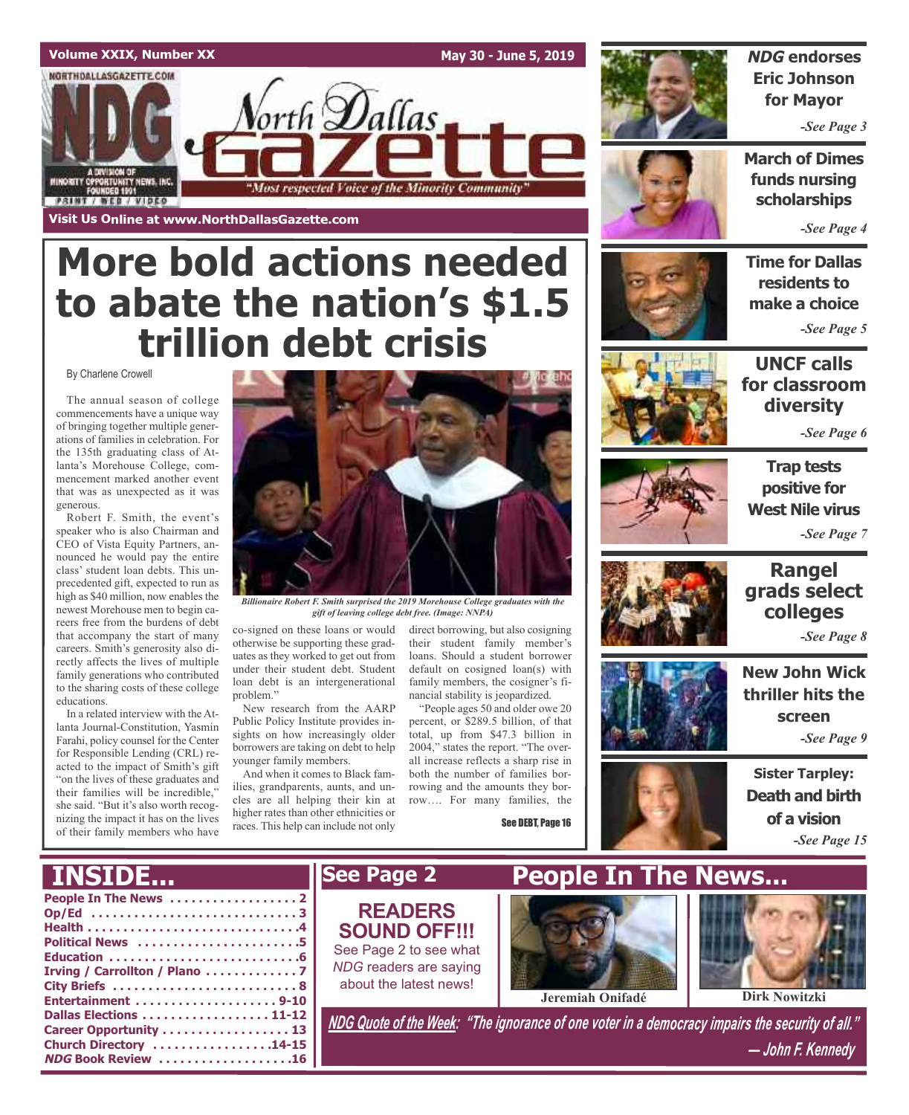

# **More bold actions needed to abate the nation's \$1.5 trillion debt crisis**

By Charlene Crowell

The annual season of college commencements have a unique way of bringing together multiple generations of families in celebration. For the 135th graduating class of Atlanta's Morehouse College, commencement marked another event that was as unexpected as it was generous.

Robert F. Smith, the event's speaker who is also Chairman and CEO of Vista Equity Partners, announced he would pay the entire class' student loan debts. This unprecedented gift, expected to run as high as \$40 million, now enables the newest Morehouse men to begin careers free from the burdens of debt that accompany the start of many careers. Smith's generosity also directly affects the lives of multiple family generations who contributed to the sharing costs of these college educations.

In a related interview with the Atlanta Journal-Constitution, Yasmin Farahi, policy counsel for the Center for Responsible Lending (CRL) reacted to the impact of Smith's gift "on the lives of these graduates and their families will be incredible," she said. "But it's also worth recognizing the impact it has on the lives of their family members who have

**NDG Book Review . . . . . . . . . . . . . . . . . . .16**



*Billionaire Robert F. Smith surprised the 2019 Morehouse College graduates with the gift of leaving college debt free. (Image: NNPA)*

co-signed on these loans or would otherwise be supporting these graduates as they worked to get out from under their student debt. Student loan debt is an intergenerational problem."

New research from the AARP Public Policy Institute provides insights on how increasingly older borrowers are taking on debt to help younger family members.

And when it comes to Black families, grandparents, aunts, and uncles are all helping their kin at higher rates than other ethnicities or races. This help can include not only

direct borrowing, but also cosigning their student family member's loans. Should a student borrower default on cosigned loan(s) with family members, the cosigner's financial stability is jeopardized.

"People ages 50 and older owe 20 percent, or \$289.5 billion, of that total, up from \$47.3 billion in 2004," states the report. "The overall increase reflects a sharp rise in both the number of families borrowing and the amounts they borrow…. For many families, the

See DEBT, Page 16



### **NDG endorses Eric Johnson for Mayor**

*-See Page 3*

**March of Dimes funds nursing scholarships**

*-See Page 4*

**Time for Dallas residents to make a choice**

*-See Page 5*



### **UNCF calls for classroom diversity**

*-See Page 6*



**Trap tests positive for West Nile virus** *-See Page 7*

**Rangel grads select colleges**







*-See Page 9*

*-See Page 8*



#### **People In The News . . . . . . . . . . . . . . . . . . 2 Op/Ed . . . . . . . . . . . . . . . . . . . . . . . . . . . . . 3 Health . . . . . . . . . . . . . . . . . . . . . . . . . . . . . .4 Political News . . . . . . . . . . . . . . . . . . . . . . .5 Education . . . . . . . . . . . . . . . . . . . . . . . . . . .6 Irving / Carrollton / Plano . . . . . . . . . . . . . 7 City Briefs . . . . . . . . . . . . . . . . . . . . . . . . . . 8 Entertainment . . . . . . . . . . . . . . . . . . . . 9-10 Dallas Elections . . . . . . . . . . . . . . . . . . 11-12 Career Opportunity . . . . . . . . . . . . . . . . . . 13 Church Directory . . . . . . . . . . . . . . . . .14-15** *NDG Quote of the Week: "The ignorance of one voter in <sup>a</sup> democracy impairs the security of all." — John F. Kennedy* **INSIDE... See Page 2 People In The News... Jeremiah Onifadé Dirk Nowitzki READERS SOUND OFF!!!** See Page 2 to see what *NDG* readers are saying about the latest news!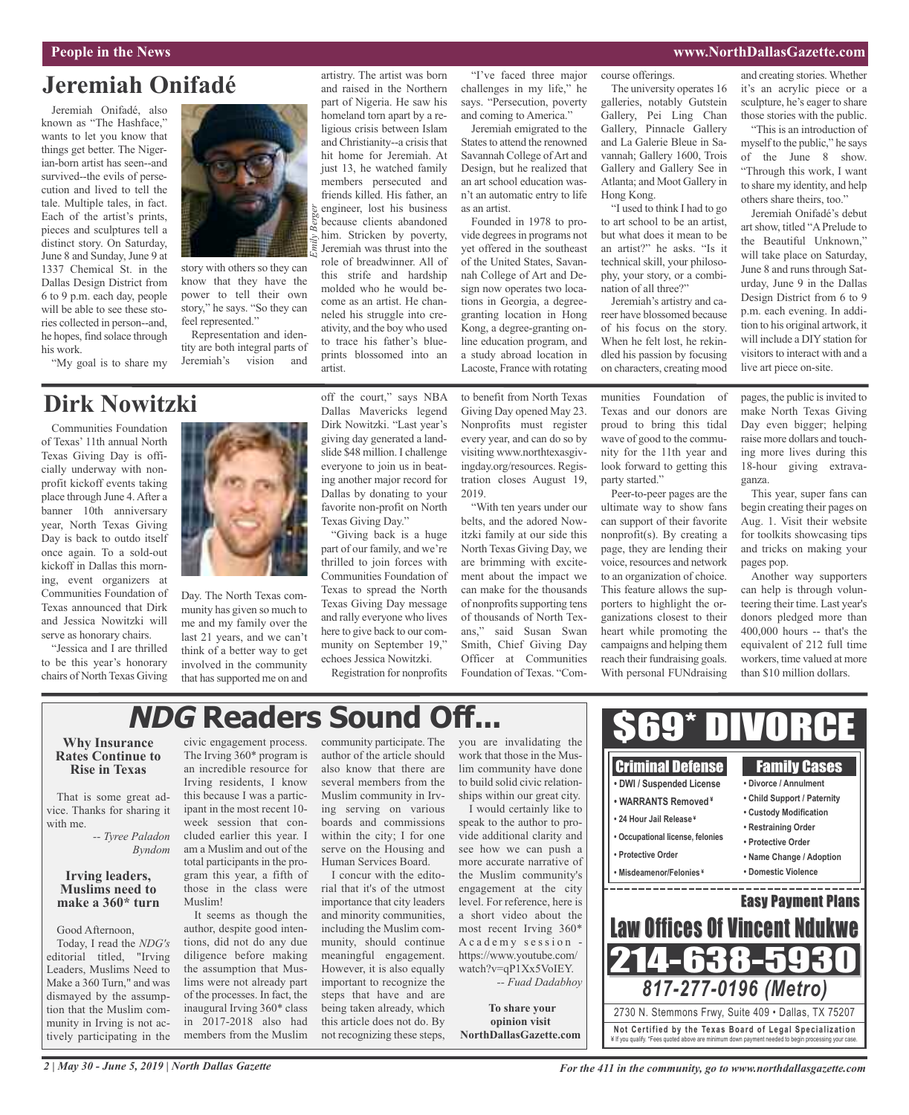#### **People in the News www.NorthDallasGazette.com**

## **Jeremiah Onifadé**

Jeremiah Onifadé, also known as "The Hashface," wants to let you know that things get better. The Nigerian-born artist has seen--and survived--the evils of persecution and lived to tell the tale. Multiple tales, in fact. Each of the artist's prints, pieces and sculptures tell a distinct story. On Saturday, June 8 and Sunday, June 9 at 1337 Chemical St. in the Dallas Design District from 6 to 9 p.m. each day, people will be able to see these stories collected in person--and, he hopes, find solace through his work.

"My goal is to share my

story with others so they can know that they have the power to tell their own story," he says. "So they can feel represented."

Representation and identity are both integral parts of Jeremiah's vision and

artistry. The artist was born and raised in the Northern part of Nigeria. He saw his homeland torn apart by a religious crisis between Islam and Christianity--a crisis that hit home for Jeremiah. At just 13, he watched family members persecuted and friends killed. His father, an engineer, lost his business because clients abandoned him. Stricken by poverty, Jeremiah was thrust into the role of breadwinner. All of this strife and hardship molded who he would become as an artist. He channeled his struggle into creativity, and the boy who used to trace his father's blueprints blossomed into an *Emily Berger*

"I've faced three major challenges in my life," he says. "Persecution, poverty and coming to America."

Jeremiah emigrated to the States to attend the renowned Savannah College of Art and Design, but he realized that an art school education wasn't an automatic entry to life as an artist.

Founded in 1978 to provide degrees in programs not yet offered in the southeast of the United States, Savannah College of Art and Design now operates two locations in Georgia, a degreegranting location in Hong Kong, a degree-granting online education program, and a study abroad location in Lacoste, France with rotating

course offerings. The university operates 16

galleries, notably Gutstein Gallery, Pei Ling Chan Gallery, Pinnacle Gallery and La Galerie Bleue in Savannah; Gallery 1600, Trois Gallery and Gallery See in Atlanta; and Moot Gallery in Hong Kong.

"I used to think I had to go to art school to be an artist, but what does it mean to be an artist?" he asks. "Is it technical skill, your philosophy, your story, or a combination of all three?"

Jeremiah's artistry and career have blossomed because of his focus on the story. When he felt lost, he rekindled his passion by focusing on characters, creating mood

and creating stories. Whether it's an acrylic piece or a sculpture, he's eager to share those stories with the public.

"This is an introduction of myself to the public," he says of the June 8 show. "Through this work, I want to share my identity, and help others share theirs, too."

Jeremiah Onifadé's debut artshow, titled "APrelude to the Beautiful Unknown," will take place on Saturday, June 8 and runs through Saturday, June 9 in the Dallas Design District from 6 to 9 p.m. each evening. In addition to his original artwork, it will include a DIY station for visitors to interact with and a live art piece on-site.

# **Dirk Nowitzki**

Communities Foundation of Texas' 11th annual North Texas Giving Day is officially underway with nonprofit kickoff events taking place through June 4.After a banner 10th anniversary year, North Texas Giving Day is back to outdo itself once again. To a sold-out kickoff in Dallas this morning, event organizers at Communities Foundation of Texas announced that Dirk and Jessica Nowitzki will serve as honorary chairs.

"Jessica and I are thrilled to be this year's honorary chairs of North Texas Giving



Day. The North Texas community has given so much to me and my family over the last 21 years, and we can't think of a better way to get involved in the community that has supported me on and off the court," says NBA Dallas Mavericks legend Dirk Nowitzki. "Last year's giving day generated a landslide \$48 million. I challenge everyone to join us in beating another major record for Dallas by donating to your favorite non-profit on North Texas Giving Day."

artist.

"Giving back is a huge part of our family, and we're thrilled to join forces with Communities Foundation of Texas to spread the North Texas Giving Day message and rally everyone who lives here to give back to our community on September 19," echoes Jessica Nowitzki.

Registration for nonprofits

to benefit from North Texas Giving Day opened May 23. Nonprofits must register every year, and can do so by

ment about the impact we can make for the thousands of nonprofits supporting tens of thousands of North Texans," said Susan Swan Smith, Chief Giving Day Officer at Communities Foundation of Texas. "Communities Foundation of Texas and our donors are proud to bring this tidal wave of good to the community for the 11th year and look forward to getting this party started."

Peer-to-peer pages are the ultimate way to show fans can support of their favorite nonprofit(s). By creating a page, they are lending their voice, resources and network to an organization of choice. This feature allows the supporters to highlight the organizations closest to their heart while promoting the campaigns and helping them reach their fundraising goals. With personal FUNdraising

Criminal Defense

pages, the public is invited to make North Texas Giving Day even bigger; helping raise more dollars and touching more lives during this 18-hour giving extravaganza.

This year, super fans can begin creating their pages on Aug. 1. Visit their website for toolkits showcasing tips and tricks on making your pages pop.

Another way supporters can help is through volunteering their time. Last year's donors pledged more than 400,000 hours -- that's the equivalent of 212 full time workers, time valued at more than \$10 million dollars.

Family Cases

# **NDG Readers Sound Off...**

#### **Why Insurance Rates Continue to Rise in Texas**

That is some great advice. Thanks for sharing it with me.

> *-- Tyree Paladon Byndom*

### **Irving leaders, Muslims need to make a 360\* turn**

Good Afternoon, Today, I read the *NDG's* editorial titled, "Irving Leaders, Muslims Need to Make a 360 Turn," and was dismayed by the assumption that the Muslim community in Irving is not actively participating in the

civic engagement process. The Irving 360\* program is an incredible resource for Irving residents, I know this because I was a participant in the most recent 10 week session that concluded earlier this year. I am a Muslim and out of the total participants in the program this year, a fifth of those in the class were Muslim!

It seems as though the author, despite good intentions, did not do any due diligence before making the assumption that Muslims were not already part of the processes. In fact, the inaugural Irving 360\* class in 2017-2018 also had members from the Muslim community participate. The author of the article should also know that there are several members from the Muslim community in Irving serving on various boards and commissions within the city; I for one serve on the Housing and Human Services Board.

I concur with the editorial that it's of the utmost importance that city leaders and minority communities, including the Muslim community, should continue meaningful engagement. However, it is also equally important to recognize the steps that have and are being taken already, which this article does not do. By not recognizing these steps,

you are invalidating the work that those in the Muslim community have done to build solid civic relationships within our great city. I would certainly like to

speak to the author to provide additional clarity and see how we can push a more accurate narrative of the Muslim community's engagement at the city level. For reference, here is a short video about the most recent Irving 360\* A c a d e m y s e s s i o n https://www.youtube.com/ watch?v=qP1Xx5VoIEY. *-- Fuad Dadabhoy*

**To share your opinion visit NorthDallasGazette.com**



\$69\* DIVORCE

visiting www.northtexasgiv-

ingday.org/resources. Registration closes August 19, 2019. "With ten years under our belts, and the adored Nowitzki family at our side this North Texas Giving Day, we are brimming with excite-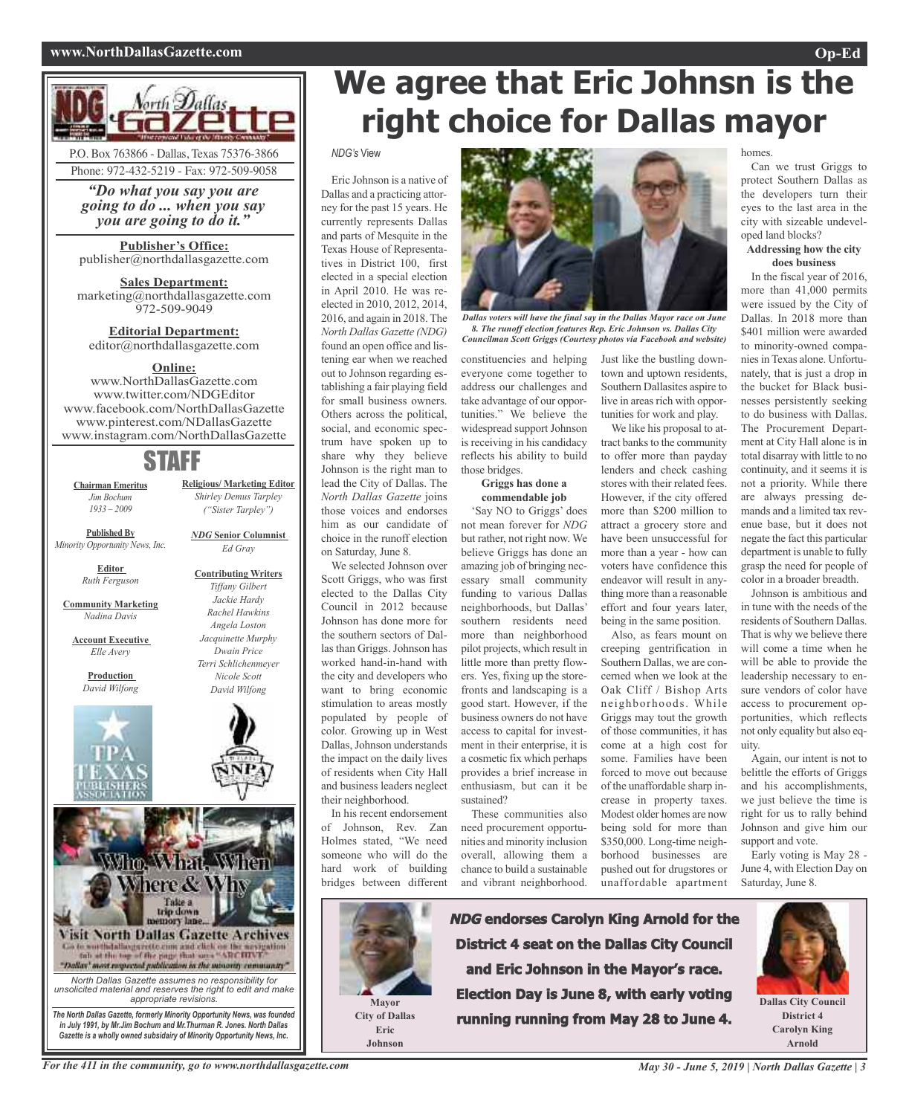#### **www.NorthDallasGazette.com Op-Ed**

Can we trust Griggs to protect Southern Dallas as the developers turn their eyes to the last area in the city with sizeable undevel-

**Addressing how the city does business** In the fiscal year of 2016, more than 41,000 permits were issued by the City of Dallas. In 2018 more than \$401 million were awarded to minority-owned companiesin Texas alone. Unfortunately, that is just a drop in the bucket for Black businesses persistently seeking to do business with Dallas. The Procurement Department at City Hall alone is in total disarray with little to no continuity, and it seems it is not a priority. While there are always pressing demands and a limited tax revenue base, but it does not negate the fact this particular department is unable to fully grasp the need for people of color in a broader breadth. Johnson is ambitious and in tune with the needs of the residents of Southern Dallas. That is why we believe there will come a time when he will be able to provide the leadership necessary to ensure vendors of color have

homes.

oped land blocks?



*"Do what you say you are going to do ... when you say you are going to do it."*

**Publisher's Office:** publisher@northdallasgazette.com

**Sales Department:** marketing@northdallasgazette.com 972-509-9049

**Editorial Department:** editor@northdallasgazette.com

#### **Online:**

www.NorthDallasGazette.com www.twitter.com/NDGEditor www.facebook.com/NorthDallasGazette www.pinterest.com/NDallasGazette www.instagram.com/NorthDallasGazette

## STAFF

**Chairman Emeritus** *Jim Bochum 1933 – 2009*

**Published By** *Minority Opportunity News, Inc.*

> **Editor** *Ruth Ferguson*

**Community Marketing** *Nadina Davis*

**Account Executive** *Elle Avery*

> **Production** *David Wilfong*







**Religious/ Marketing Editor** *Shirley Demus Tarpley ("Sister Tarpley")*

*NDG* **Senior Columnist** *Ed Gray*



#### *NDG's* View

Eric Johnson is a native of Dallas and a practicing attorney for the past 15 years. He currently represents Dallas and parts of Mesquite in the Texas House of Representatives in District 100, first elected in a special election in April 2010. He was reelected in 2010, 2012, 2014, 2016, and again in 2018. The *North Dallas Gazette (NDG)* found an open office and listening ear when we reached out to Johnson regarding establishing a fair playing field for small business owners. Others across the political, social, and economic spectrum have spoken up to share why they believe Johnson is the right man to lead the City of Dallas. The *North Dallas Gazette* joins those voices and endorses him as our candidate of choice in the runoff election on Saturday, June 8.

We selected Johnson over Scott Griggs, who was first elected to the Dallas City Council in 2012 because Johnson has done more for the southern sectors of Dallas than Griggs. Johnson has worked hand-in-hand with the city and developers who want to bring economic stimulation to areas mostly populated by people of color. Growing up in West Dallas, Johnson understands the impact on the daily lives of residents when City Hall and business leaders neglect their neighborhood.

In his recent endorsement of Johnson, Rev. Zan Holmes stated, "We need someone who will do the hard work of building bridges between different



*Dallas voters will have the final say in the Dallas Mayor race on June 8. The runoff election features Rep. Eric Johnson vs. Dallas City Councilman Scott Griggs (Courtesy photos via Facebook and website)*

constituencies and helping everyone come together to address our challenges and take advantage of our opportunities." We believe the widespread support Johnson is receiving in his candidacy reflects his ability to build those bridges.

#### **Griggs has done a commendable job**

'Say NO to Griggs' does not mean forever for *NDG* but rather, not right now. We believe Griggs has done an amazing job of bringing necessary small community funding to various Dallas neighborhoods, but Dallas' southern residents need more than neighborhood pilot projects, which result in little more than pretty flowers. Yes, fixing up the storefronts and landscaping is a good start. However, if the business owners do not have access to capital for investment in their enterprise, it is a cosmetic fix which perhaps provides a brief increase in enthusiasm, but can it be sustained?

These communities also need procurement opportunities and minority inclusion overall, allowing them a chance to build a sustainable and vibrant neighborhood.

We like his proposal to attract banks to the community to offer more than payday lenders and check cashing stores with their related fees. However, if the city offered more than \$200 million to attract a grocery store and have been unsuccessful for more than a year - how can voters have confidence this endeavor will result in anything more than a reasonable effort and four years later, being in the same position.

Also, as fears mount on creeping gentrification in Southern Dallas, we are concerned when we look at the Oak Cliff / Bishop Arts neighborhoods. While Griggs may tout the growth of those communities, it has come at a high cost for some. Families have been forced to move out because of the unaffordable sharp increase in property taxes. Modest older homes are now being sold for more than \$350,000. Long-time neighborhood businesses are pushed out for drugstores or unaffordable apartment

**NDG endorses Carolyn King Arnold for the District 4 seat on the Dallas City Council and Eric Johnson in the Mayor's race. Election Day is June 8, with early voting running running from May 28 to June 4.**

Just like the bustling downtown and uptown residents, Southern Dallasites aspire to live in areas rich with opportunities for work and play.

access to procurement op-

support and vote. Early voting is May 28 - June 4, with Election Day on Saturday, June 8.

uity.



portunities, which reflects not only equality but also eq-

Again, our intent is not to belittle the efforts of Griggs and his accomplishments, we just believe the time is right for us to rally behind Johnson and give him our

**Dallas City Council District 4 Carolyn King Arnold**



**Eric Johnson**

For the 411 in the community, go to www.northdallasgazette.com May 30 - June 5, 2019 | North Dallas Gazette | 3

*North Dallas Gazette assumes no responsibility for unsolicited material and reserves the right to edit and make appropriate revisions. The North Dallas Gazette, formerly Minority Opportunity News, was founded in July 1991, by Mr.Jim Bochum and Mr.Thurman R. Jones. North Dallas Gazette is a wholly owned subsidairy of Minority Opportunity News, Inc.*

Who. What, When

Mhere & Why

Take a<br>trip down

**Visit North Dallas Gazette Archives** Go to worth dallargered cleans and click on the westgation to be the top of the page that same "ARCHIVE" "Dallar more map conducting in the minority community"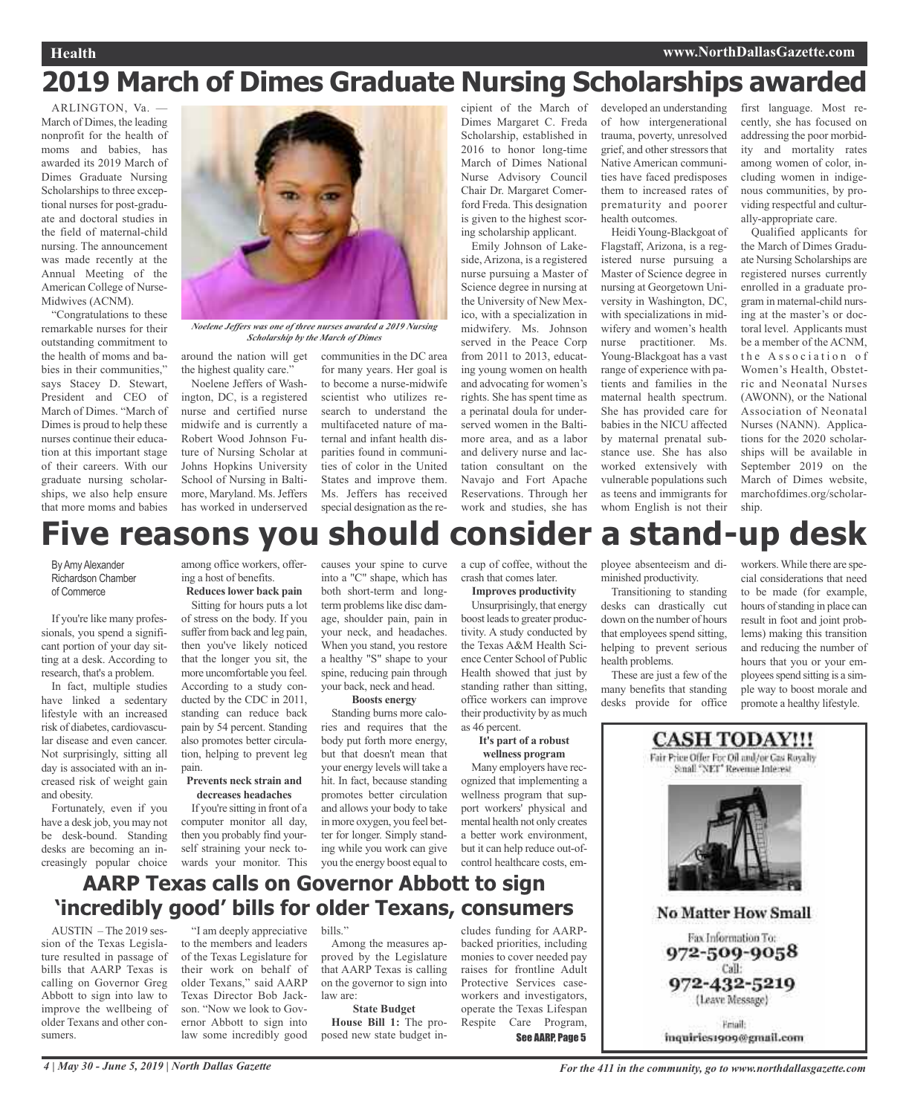#### **Health www.NorthDallasGazette.com**

# **2019 March of Dimes Graduate Nursing Scholarships awarded**

ARLINGTON Va -March of Dimes, the leading nonprofit for the health of moms and babies, has awarded its 2019 March of Dimes Graduate Nursing Scholarships to three exceptional nurses for post-graduate and doctoral studies in the field of maternal-child nursing. The announcement was made recently at the Annual Meeting of the American College of Nurse-Midwives (ACNM).

"Congratulations to these remarkable nurses for their outstanding commitment to the health of moms and babies in their communities" says Stacey D. Stewart, President and CEO of March of Dimes. "March of Dimes is proud to help these nurses continue their education at this important stage of their careers. With our graduate nursing scholarships, we also help ensure that more moms and babies

*Noelene Jeffers was one of three nurses awarded <sup>a</sup> 2019 Nursing Scholarship by the March of Dimes*

around the nation will get the highest quality care."

Noelene Jeffers of Washington, DC, is a registered nurse and certified nurse midwife and is currently a Robert Wood Johnson Future of Nursing Scholar at Johns Hopkins University School of Nursing in Baltimore, Maryland. Ms. Jeffers has worked in underserved

communities in the DC area for many years. Her goal is to become a nurse-midwife scientist who utilizes research to understand the multifaceted nature of maternal and infant health disparities found in communities of color in the United States and improve them. Ms. Jeffers has received special designation as the re-

cipient of the March of Dimes Margaret C. Freda Scholarship, established in 2016 to honor long-time March of Dimes National Nurse Advisory Council Chair Dr. Margaret Comerford Freda. This designation is given to the highest scoring scholarship applicant.

Emily Johnson of Lakeside, Arizona, is a registered nurse pursuing a Master of Science degree in nursing at the University of New Mexico, with a specialization in midwifery. Ms. Johnson served in the Peace Corp from 2011 to 2013, educating young women on health and advocating for women's rights. She has spent time as a perinatal doula for underserved women in the Baltimore area, and as a labor and delivery nurse and lactation consultant on the Navajo and Fort Apache Reservations. Through her work and studies, she has

developed an understanding of how intergenerational trauma, poverty, unresolved grief, and other stressors that Native American communities have faced predisposes them to increased rates of prematurity and poorer health outcomes.

Heidi Young-Blackgoat of Flagstaff, Arizona, is a registered nurse pursuing a Master of Science degree in nursing at Georgetown University in Washington, DC, with specializations in midwifery and women's health nurse practitioner. Ms. Young-Blackgoat has a vast range of experience with patients and families in the maternal health spectrum. She has provided care for babies in the NICU affected by maternal prenatal substance use. She has also worked extensively with vulnerable populations such as teens and immigrants for whom English is not their

first language. Most recently, she has focused on addressing the poor morbidity and mortality rates among women of color, including women in indigenous communities, by providing respectful and culturally-appropriate care.

Qualified applicants for the March of Dimes Graduate Nursing Scholarships are registered nurses currently enrolled in a graduate program in maternal-child nursing at the master's or doctoral level. Applicants must be a member of the ACNM, the Association of Women's Health, Obstetric and Neonatal Nurses (AWONN), or the National Association of Neonatal Nurses (NANN). Applications for the 2020 scholarships will be available in September 2019 on the March of Dimes website, marchofdimes.org/scholarship.

# **Five reasons you should consider a stand-up desk**

By Amy Alexander Richardson Chamber of Commerce

If you're like many professionals, you spend a significant portion of your day sitting at a desk. According to research, that's a problem.

In fact, multiple studies have linked a sedentary lifestyle with an increased risk of diabetes, cardiovascular disease and even cancer. Not surprisingly, sitting all day is associated with an increased risk of weight gain and obesity.

Fortunately, even if you have a desk job, you may not be desk-bound. Standing desks are becoming an increasingly popular choice

among office workers, offering a host of benefits. **Reduces lower back pain**

Sitting for hours puts a lot of stress on the body. If you suffer from back and leg pain, then you've likely noticed that the longer you sit, the more uncomfortable you feel. According to a study conducted by the CDC in 2011, standing can reduce back pain by 54 percent. Standing also promotes better circulation, helping to prevent leg pain.

#### **Prevents neck strain and decreases headaches**

If you're sitting in front of a computer monitor all day, then you probably find yourself straining your neck towards your monitor. This causes your spine to curve into a "C" shape, which has both short-term and longterm problems like disc damage, shoulder pain, pain in your neck, and headaches. When you stand, you restore a healthy "S" shape to your spine, reducing pain through your back, neck and head.

#### **Boosts energy**

Standing burns more calories and requires that the body put forth more energy, but that doesn't mean that your energy levels will take a hit. In fact, because standing promotes better circulation and allows your body to take in more oxygen, you feel better for longer. Simply standing while you work can give you the energy boost equal to a cup of coffee, without the crash that comes later. **Improves productivity**

Unsurprisingly, that energy boost leads to greater productivity. A study conducted by the Texas A&M Health Science Center School of Public Health showed that just by standing rather than sitting, office workers can improve their productivity by as much

#### as 46 percent. **It's part of a robust wellness program**

Many employers have recognized that implementing a wellness program that support workers' physical and mental health not only creates a better work environment, but it can help reduce out-ofcontrol healthcare costs, employee absenteeism and diminished productivity.

Transitioning to standing desks can drastically cut down on the number of hours that employees spend sitting, helping to prevent serious health problems.

These are just a few of the many benefits that standing desks provide for office

workers.While there are special considerations that need to be made (for example, hours of standing in place can result in foot and joint problems) making this transition and reducing the number of hours that you or your employees spend sitting is a simple way to boost morale and promote a healthy lifestyle.



inquiries1909@gmail.com



AUSTIN – The 2019 session of the Texas Legislature resulted in passage of bills that AARP Texas is calling on Governor Greg Abbott to sign into law to improve the wellbeing of older Texans and other consumers.

"I am deeply appreciative to the members and leaders of the Texas Legislature for their work on behalf of older Texans," said AARP Texas Director Bob Jackson. "Now we look to Governor Abbott to sign into law some incredibly good

bills."

Among the measures approved by the Legislature that AARP Texas is calling on the governor to sign into law are: **State Budget**

**House Bill 1:** The proposed new state budget includes funding for AARPbacked priorities, including monies to cover needed pay raises for frontline Adult Protective Services caseworkers and investigators, operate the Texas Lifespan Respite Care Program, See AARP, Page 5

4 | May 30 - June 5, 2019 | North Dallas Gazette Service of All in the community, go to www.northdallasgazette.com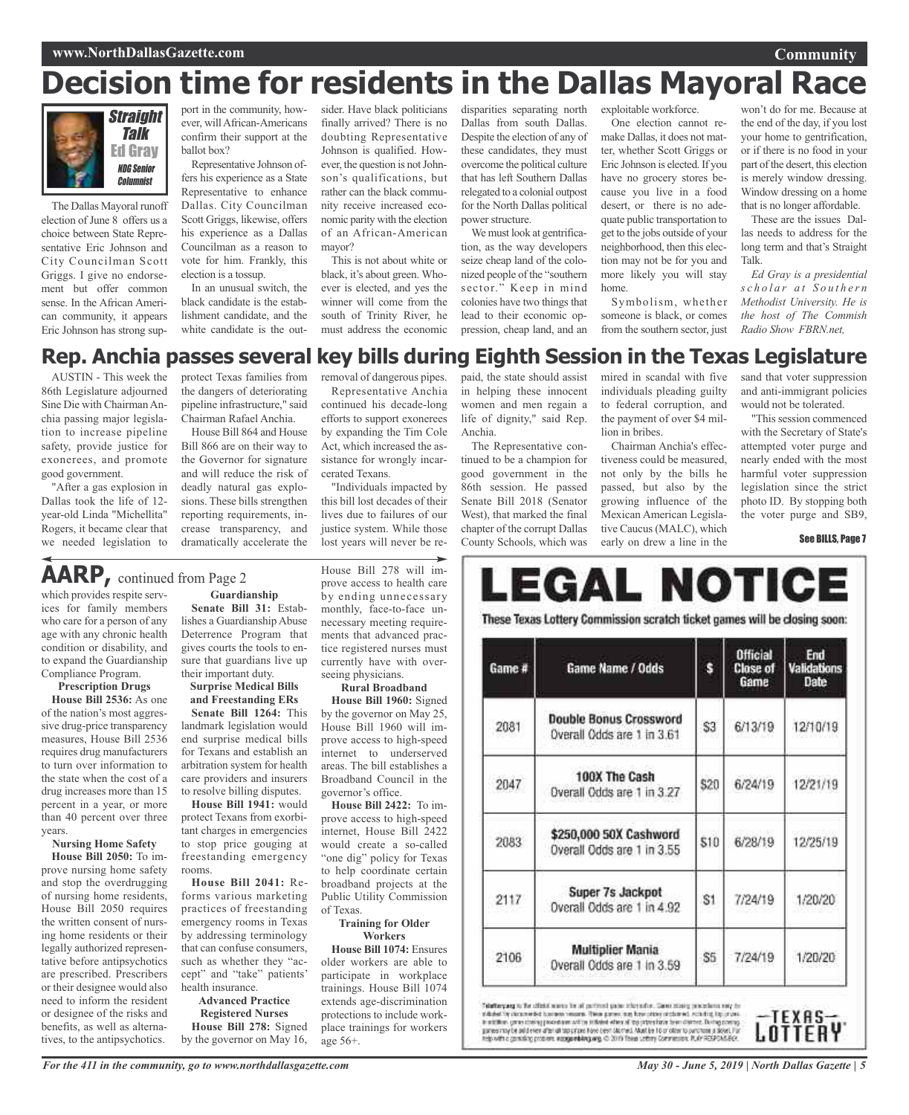# **Decision time for residents in the Dallas Mayoral Race**



The Dallas Mayoral runoff election of June 8 offers us a choice between State Representative Eric Johnson and City Councilman Scott Griggs. I give no endorsement but offer common sense. In the African American community, it appears Eric Johnson has strong sup-

port in the community, however, willAfrican-Americans confirm their support at the ballot box?

Representative Johnson offers his experience as a State Representative to enhance Dallas. City Councilman Scott Griggs, likewise, offers his experience as a Dallas Councilman as a reason to vote for him. Frankly, this election is a tossup.

In an unusual switch, the black candidate is the establishment candidate, and the white candidate is the out-

sider. Have black politicians finally arrived? There is no doubting Representative Johnson is qualified. However, the question is not Johnson's qualifications, but rather can the black community receive increased economic parity with the election of an African-American mayor?

This is not about white or black, it's about green. Whoever is elected, and yes the winner will come from the south of Trinity River, he must address the economic

removal of dangerous pipes. Representative Anchia continued his decade-long efforts to support exonerees by expanding the Tim Cole Act, which increased the assistance for wrongly incar-

"Individuals impacted by this bill lost decades of their lives due to failures of our justice system. While those lost years will never be re-

cerated Texans.

disparities separating north Dallas from south Dallas. Despite the election of any of these candidates, they must overcome the political culture that has left Southern Dallas relegated to a colonial outpost for the North Dallas political power structure.

We must look at gentrification, as the way developers seize cheap land of the colonized people of the "southern sector." Keep in mind colonies have two things that lead to their economic oppression, cheap land, and an exploitable workforce.

One election cannot remake Dallas, it does not matter, whether Scott Griggs or Eric Johnson is elected.If you have no grocery stores because you live in a food desert, or there is no adequate public transportation to get to the jobs outside of your neighborhood, then this election may not be for you and more likely you will stay home.

Symbolism, whether someone is black, or comes from the southern sector, just

won't do for me. Because at the end of the day, if you lost your home to gentrification, or if there is no food in your part of the desert, this election is merely window dressing. Window dressing on a home that is no longer affordable.

**Community**

These are the issues Dallas needs to address for the long term and that's Straight Talk.

*Ed Gray is a presidential s c h o l a r a t S o u t h e r n Methodist University. He is the host of The Commish Radio Show FBRN.net,*

### **Rep. Anchia passes several key bills during Eighth Session in the Texas Legislature**

AUSTIN - This week the 86th Legislature adjourned Sine Die with Chairman Anchia passing major legislation to increase pipeline safety, provide justice for exonerees, and promote good government.

"After a gas explosion in Dallas took the life of 12 year-old Linda "Michellita" Rogers, it became clear that we needed legislation to

protect Texas families from the dangers of deteriorating pipeline infrastructure," said Chairman Rafael Anchia.

House Bill 864 and House Bill 866 are on their way to the Governor for signature and will reduce the risk of deadly natural gas explosions. These bills strengthen reporting requirements, increase transparency, and dramatically accelerate the

# **AARP,** continued from Page <sup>2</sup>

which provides respite services for family members who care for a person of any age with any chronic health condition or disability, and to expand the Guardianship Compliance Program.

**Prescription Drugs**

**House Bill 2536:** As one of the nation's most aggressive drug-price transparency measures, House Bill 2536 requires drug manufacturers to turn over information to the state when the cost of a drug increases more than 15 percent in a year, or more than 40 percent over three years.

#### **Nursing Home Safety**

**House Bill 2050:** To improve nursing home safety and stop the overdrugging of nursing home residents, House Bill 2050 requires the written consent of nursing home residents or their legally authorized representative before antipsychotics are prescribed. Prescribers or their designee would also need to inform the resident or designee of the risks and benefits, as well as alternatives, to the antipsychotics.

**Guardianship Senate Bill 31:** Establishes a Guardianship Abuse Deterrence Program that gives courts the tools to ensure that guardians live up their important duty.

**Surprise Medical Bills and Freestanding ERs**

**Senate Bill 1264:** This landmark legislation would end surprise medical bills for Texans and establish an arbitration system for health care providers and insurers to resolve billing disputes.

**House Bill 1941:** would protect Texans from exorbitant charges in emergencies to stop price gouging at freestanding emergency rooms.

**House Bill 2041:** Reforms various marketing practices of freestanding emergency rooms in Texas by addressing terminology that can confuse consumers, such as whether they "accept" and "take" patients' health insurance.

**Advanced Practice Registered Nurses House Bill 278:** Signed by the governor on May 16,

House Bill 278 will improve access to health care by ending unnecessary monthly, face-to-face unnecessary meeting requirements that advanced practice registered nurses must currently have with overseeing physicians.

#### **Rural Broadband**

**House Bill 1960:** Signed by the governor on May 25, House Bill 1960 will improve access to high-speed internet to underserved areas. The bill establishes a Broadband Council in the governor's office.

**House Bill 2422:** To improve access to high-speed internet, House Bill 2422 would create a so-called "one dig" policy for Texas to help coordinate certain broadband projects at the Public Utility Commission of Texas.

#### **Training for Older Workers**

**House Bill 1074:** Ensures older workers are able to participate in workplace trainings. House Bill 1074 extends age-discrimination protections to include workplace trainings for workers age 56+.

paid, the state should assist in helping these innocent women and men regain a life of dignity," said Rep. Anchia.

The Representative continued to be a champion for good government in the 86th session. He passed Senate Bill 2018 (Senator West), that marked the final chapter of the corrupt Dallas County Schools, which was

mired in scandal with five individuals pleading guilty to federal corruption, and the payment of over \$4 million in bribes.

Chairman Anchia's effectiveness could be measured, not only by the bills he passed, but also by the growing influence of the Mexican American Legislative Caucus(MALC), which early on drew a line in the

sand that voter suppression and anti-immigrant policies would not be tolerated.

"This session commenced with the Secretary of State's attempted voter purge and nearly ended with the most harmful voter suppression legislation since the strict photo ID. By stopping both the voter purge and SB9,

See BILLS, Page 7

| Game # | Game Name / Odds                                            | s    | <b>Official</b><br><b>Close of</b><br>Game | End<br>Validations<br><b>Date</b> |
|--------|-------------------------------------------------------------|------|--------------------------------------------|-----------------------------------|
| 2081   | <b>Double Bonus Crossword</b><br>Overall Odds are 1 in 3.61 | S3   | 6/13/19                                    | 12/10/19                          |
| 2047   | 100X The Cash<br>Overall Odds are 1 in 3.27                 | 520  | 6/24/19                                    | 12/21/19                          |
| 2083   | \$250,000 50X Cashword<br>Overall Odds are 1 in 3.55        | \$10 | 6/28/19                                    | 12/25/19                          |
| 2117   | Super 7s Jackpot<br>Overall Odds are 1 in 4.92              | S1   | 7/24/19                                    | 1/20/20                           |
| 2106   | <b>Multiplier Mania</b><br>Overall Odds are 1 in 3.59       | S5   | 7/24/19                                    | 1/20/20                           |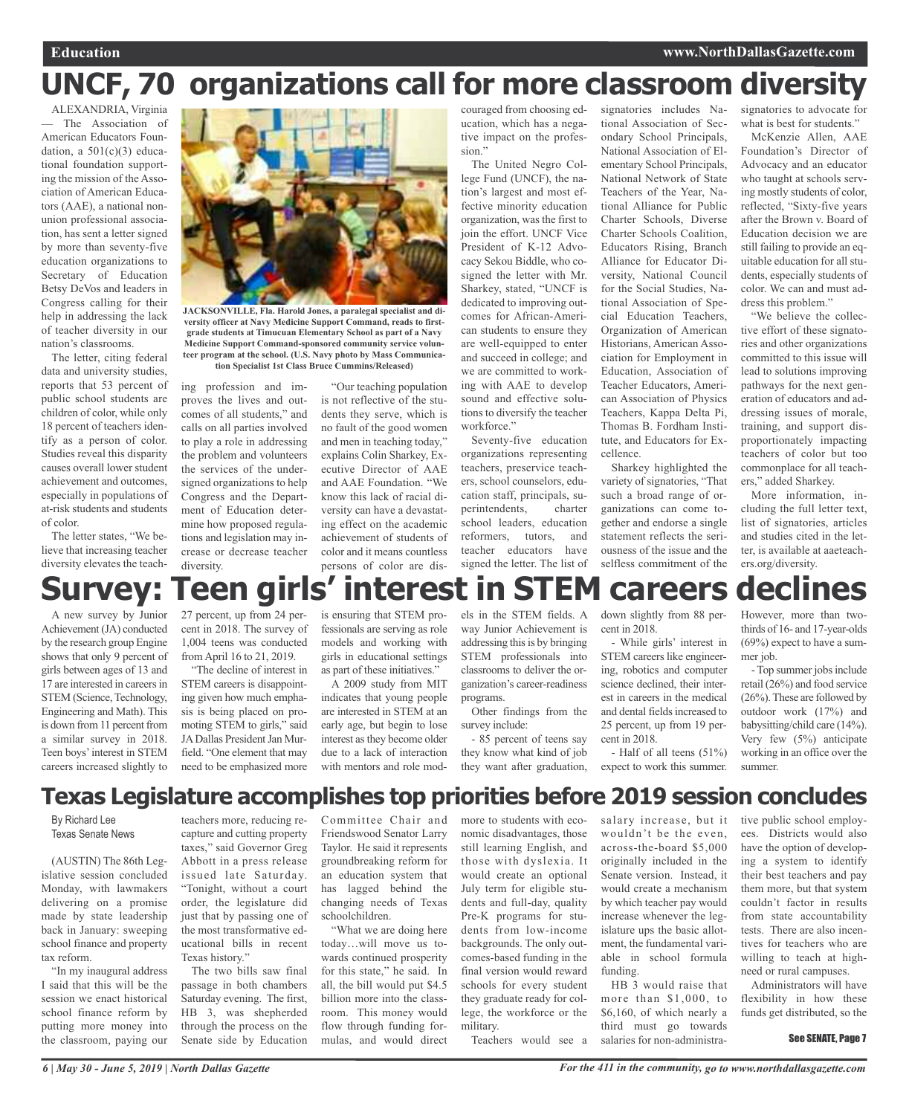# **UNCF, 70 organizations call for more classroom diversity**

ALEXANDRIA, Virginia — The Association of American Educators Foundation, a  $501(c)(3)$  educational foundation supporting the mission of the Association of American Educators (AAE), a national nonunion professional association, has sent a letter signed by more than seventy-five education organizations to Secretary of Education Betsy DeVos and leaders in Congress calling for their help in addressing the lack of teacher diversity in our nation's classrooms.

The letter, citing federal data and university studies, reports that 53 percent of public school students are children of color, while only 18 percent of teachers identify as a person of color. Studies reveal this disparity causes overall lower student achievement and outcomes, especially in populations of at-risk students and students of color.

The letter states, "We believe that increasing teacher diversity elevates the teach-



**JACKSONVILLE, Fla. Harold Jones, a paralegal specialist and diversity officer at Navy Medicine Support Command, reads to firstgrade students at Timucuan Elementary School as part of a Navy Medicine Support Command-sponsored community service volunteer program at the school. (U.S. Navy photo by Mass Communication Specialist 1st Class Bruce Cummins/Released)**

ing profession and improves the lives and outcomes of all students," and calls on all parties involved to play a role in addressing the problem and volunteers the services of the undersigned organizations to help Congress and the Department of Education determine how proposed regulations and legislation may increase or decrease teacher diversity.

"Our teaching population is not reflective of the students they serve, which is no fault of the good women and men in teaching today," explains Colin Sharkey, Executive Director of AAE and AAE Foundation. "We know this lack of racial diversity can have a devastating effect on the academic achievement of students of color and it means countless persons of color are dis-

couraged from choosing education, which has a negative impact on the profession.'

The United Negro College Fund (UNCF), the nation's largest and most effective minority education organization, was the first to join the effort. UNCF Vice President of K-12 Advocacy Sekou Biddle, who cosigned the letter with Mr. Sharkey, stated, "UNCF is dedicated to improving outcomes for African-American students to ensure they are well-equipped to enter and succeed in college; and we are committed to working with AAE to develop sound and effective solutions to diversify the teacher workforce."

Seventy-five education organizations representing teachers, preservice teachers, school counselors, education staff, principals, superintendents, charter school leaders, education reformers, tutors, and teacher educators have signed the letter. The list of

signatories includes National Association of Secondary School Principals, National Association of Elementary School Principals, National Network of State Teachers of the Year, National Alliance for Public Charter Schools, Diverse Charter Schools Coalition, Educators Rising, Branch Alliance for Educator Diversity, National Council for the Social Studies, National Association of Special Education Teachers, Organization of American Historians, American Association for Employment in Education, Association of Teacher Educators, American Association of Physics Teachers, Kappa Delta Pi, Thomas B. Fordham Institute, and Educators for Excellence.

Sharkey highlighted the variety of signatories, "That such a broad range of organizations can come together and endorse a single statement reflects the seriousness of the issue and the selfless commitment of the

signatories to advocate for what is best for students."

McKenzie Allen, AAE Foundation's Director of Advocacy and an educator who taught at schools serving mostly students of color, reflected, "Sixty-five years after the Brown v. Board of Education decision we are still failing to provide an equitable education for all students, especially students of color. We can and must address this problem."

"We believe the collective effort of these signatories and other organizations committed to this issue will lead to solutions improving pathways for the next generation of educators and addressing issues of morale, training, and support disproportionately impacting teachers of color but too commonplace for all teachers," added Sharkey.

More information, including the full letter text, list of signatories, articles and studies cited in the letter, is available at aaeteachers.org/diversity.

# **Survey: Teen girls' interest in STEM careers declines**

A new survey by Junior Achievement(JA) conducted by the research group Engine shows that only 9 percent of girls between ages of 13 and 17 are interested in careers in STEM (Science, Technology, Engineering and Math). This is down from 11 percent from a similar survey in 2018. Teen boys'interest in STEM careers increased slightly to 27 percent, up from 24 percent in 2018. The survey of 1,004 teens was conducted fromApril 16 to 21, 2019.

"The decline of interest in STEM careers is disappointing given how much emphasis is being placed on promoting STEM to girls," said JA Dallas President Jan Murfield. "One element that may need to be emphasized more

is ensuring that STEM professionals are serving as role models and working with girls in educational settings as part of these initiatives."

A 2009 study from MIT indicates that young people are interested in STEM at an early age, but begin to lose interest as they become older due to a lack of interaction with mentors and role mod-

els in the STEM fields. A way Junior Achievement is addressing this is by bringing STEM professionals into classrooms to deliver the organization's career-readiness programs.

Other findings from the survey include:

- 85 percent of teens say they know what kind of job they want after graduation, down slightly from 88 percent in 2018.

- While girls' interest in STEM careers like engineering, robotics and computer science declined, their interest in careers in the medical and dental fields increased to 25 percent, up from 19 percent in 2018.

- Half of all teens (51%) expect to work this summer. However, more than twothirds of 16- and 17-year-olds (69%) expect to have a summer job.

- Top summer jobs include retail (26%) and food service (26%).These are followed by outdoor work (17%) and babysitting/child care (14%). Very few (5%) anticipate working in an office over the summer.

## **Texas Legislature accomplishes top priorities before 2019 session concludes**

By Richard Lee Texas Senate News

(AUSTIN) The 86th Legislative session concluded Monday, with lawmakers delivering on a promise made by state leadership back in January: sweeping school finance and property tax reform.

"In my inaugural address I said that this will be the session we enact historical school finance reform by putting more money into the classroom, paying our

teachers more, reducing recapture and cutting property taxes," said Governor Greg Abbott in a press release issued late Saturday. "Tonight, without a court order, the legislature did just that by passing one of the most transformative educational bills in recent Texas history."

The two bills saw final passage in both chambers Saturday evening. The first, HB 3, was shepherded through the process on the Senate side by Education

Committee Chair and Friendswood Senator Larry Taylor. He said it represents groundbreaking reform for an education system that has lagged behind the changing needs of Texas schoolchildren.

"What we are doing here today…will move us towards continued prosperity for this state," he said. In all, the bill would put \$4.5 billion more into the classroom. This money would flow through funding formulas, and would direct

more to students with economic disadvantages, those still learning English, and those with dyslexia. It would create an optional July term for eligible students and full-day, quality Pre-K programs for students from low-income backgrounds. The only outcomes-based funding in the final version would reward schools for every student they graduate ready for college, the workforce or the military.

Teachers would see a

salary increase, but it wouldn't be the even, across-the-board \$5,000 originally included in the Senate version. Instead, it would create a mechanism by which teacher pay would increase whenever the legislature ups the basic allotment, the fundamental variable in school formula funding.

HB 3 would raise that more than \$1,000, to \$6,160, of which nearly a third must go towards salaries for non-administrative public school employees. Districts would also have the option of developing a system to identify their best teachers and pay them more, but that system couldn't factor in results from state accountability tests. There are also incentives for teachers who are willing to teach at highneed or rural campuses.

Administrators will have flexibility in how these funds get distributed, so the

#### See SENATE, Page 7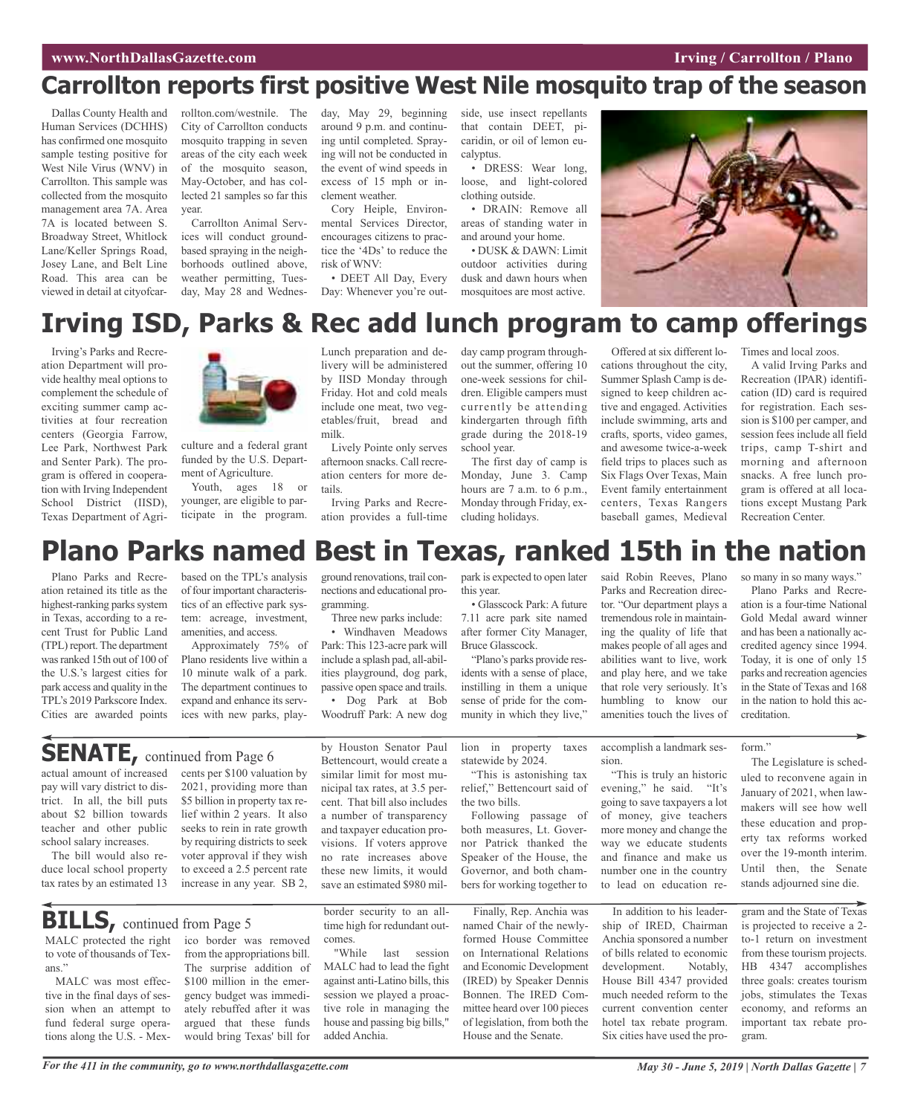#### **WAW.NorthDallasGazette.com Irving** / **Carrollton** / **Plano**

# **Carrollton reports first positive West Nile mosquito trap of the season**

Dallas County Health and Human Services (DCHHS) has confirmed one mosquito sample testing positive for West Nile Virus (WNV) in Carrollton. This sample was collected from the mosquito management area 7A. Area 7A is located between S. Broadway Street, Whitlock Lane/Keller Springs Road, Josey Lane, and Belt Line Road. This area can be viewed in detail at cityofcar-

rollton.com/westnile. The City of Carrollton conducts mosquito trapping in seven areas of the city each week of the mosquito season, May-October, and has collected 21 samples so far this year.

Carrollton Animal Services will conduct groundbased spraying in the neighborhoods outlined above, weather permitting, Tuesday, May 28 and Wednesday, May 29, beginning around 9 p.m. and continuing until completed. Spraying will not be conducted in the event of wind speeds in excess of 15 mph or inclement weather.

Cory Heiple, Environmental Services Director, encourages citizens to practice the '4Ds' to reduce the risk of WNV:

• DEET All Day, Every Day: Whenever you're outside, use insect repellants that contain DEET, picaridin, or oil of lemon eucalyptus.

• DRESS: Wear long, loose, and light-colored clothing outside.

• DRAIN: Remove all areas of standing water in and around your home.

• DUSK & DAWN: Limit outdoor activities during dusk and dawn hours when mosquitoes are most active.



# **Irving ISD, Parks & Rec add lunch program to camp offerings**

Irving's Parks and Recreation Department will provide healthy meal options to complement the schedule of exciting summer camp activities at four recreation centers (Georgia Farrow, Lee Park, Northwest Park and Senter Park). The program is offered in cooperation with Irving Independent School District (IISD), Texas Department of Agri-



culture and a federal grant funded by the U.S. Department of Agriculture.

Youth, ages 18 or younger, are eligible to participate in the program. Lunch preparation and delivery will be administered by IISD Monday through Friday. Hot and cold meals include one meat, two vegetables/fruit, bread and milk.

Lively Pointe only serves afternoon snacks. Call recreation centers for more details.

Irving Parks and Recreation provides a full-time day camp program throughout the summer, offering 10 one-week sessions for children. Eligible campers must currently be attending kindergarten through fifth grade during the 2018-19 school year.

The first day of camp is Monday, June 3. Camp hours are 7 a.m. to 6 p.m., Monday through Friday, excluding holidays.

Offered at six different locations throughout the city, Summer Splash Camp is designed to keep children active and engaged. Activities include swimming, arts and crafts, sports, video games, and awesome twice-a-week field trips to places such as Six Flags Over Texas, Main Event family entertainment centers, Texas Rangers baseball games, Medieval Times and local zoos.

A valid Irving Parks and Recreation (IPAR) identification (ID) card is required for registration. Each session is \$100 per camper, and session fees include all field trips, camp T-shirt and morning and afternoon snacks. A free lunch program is offered at all locations except Mustang Park Recreation Center.

# **Plano Parks named Best in Texas, ranked 15th in the nation**

Plano Parks and Recreation retained its title as the highest-ranking parks system in Texas, according to a recent Trust for Public Land (TPL) report. The department was ranked 15th out of 100 of the U.S.'s largest cities for park access and quality in the TPL's 2019 Parkscore Index. Cities are awarded points

based on the TPL's analysis of four important characteristics of an effective park system: acreage, investment, amenities, and access.

Approximately 75% of Plano residents live within a 10 minute walk of a park. The department continues to expand and enhance its services with new parks, playground renovations, trail connections and educational programming.

Three new parks include: • Windhaven Meadows Park: This 123-acre park will include a splash pad, all-abilities playground, dog park, passive open space and trails. • Dog Park at Bob Woodruff Park: A new dog

by Houston Senator Paul Bettencourt, would create a similar limit for most municipal tax rates, at 3.5 percent. That bill also includes a number of transparency and taxpayer education provisions. If voters approve no rate increases above these new limits, it would save an estimated \$980 milpark is expected to open later this year.

• Glasscock Park: A future 7.11 acre park site named after former City Manager, Bruce Glasscock.

"Plano's parks provide residents with a sense of place, instilling in them a unique sense of pride for the community in which they live,"

lion in property taxes statewide by 2024.

"This is astonishing tax relief," Bettencourt said of the two bills.

Following passage of both measures, Lt. Governor Patrick thanked the Speaker of the House, the Governor, and both chambers for working together to

Finally, Rep. Anchia was named Chair of the newlyformed House Committee on International Relations and Economic Development (IRED) by Speaker Dennis Bonnen. The IRED Committee heard over 100 pieces of legislation, from both the House and the Senate.

tor. "Our department plays a tremendous role in maintaining the quality of life that makes people of all ages and abilities want to live, work and play here, and we take that role very seriously. It's humbling to know our amenities touch the lives of

said Robin Reeves, Plano Parks and Recreation direc-

Plano Parks and Recreation is a four-time National

so many in so many ways.'

Gold Medal award winner and has been a nationally accredited agency since 1994. Today, it is one of only 15 parks and recreation agencies in the State of Texas and 168 in the nation to hold this accreditation.

## **SENATE**, continued from Page 6

actual amount of increased pay will vary district to district. In all, the bill puts about \$2 billion towards teacher and other public school salary increases.

The bill would also reduce local school property tax rates by an estimated 13 cents per \$100 valuation by 2021, providing more than \$5 billion in property tax relief within 2 years. It also seeks to rein in rate growth by requiring districts to seek voter approval if they wish to exceed a 2.5 percent rate increase in any year. SB 2,

MALC protected the right ico border was removed **BILLS**, continued from Page 5

to vote of thousands of Texans." MALC was most effec-

tive in the final days of session when an attempt to fund federal surge operations along the U.S. - Mex-

from the appropriations bill. The surprise addition of \$100 million in the emergency budget was immediately rebuffed after it was argued that these funds would bring Texas' bill for

border security to an alltime high for redundant outcomes.

"While last session MALC had to lead the fight against anti-Latino bills, this session we played a proactive role in managing the house and passing big bills," added Anchia.

accomplish a landmark session.

> "This is truly an historic evening," he said. "It's going to save taxpayers a lot

of money, give teachers more money and change the way we educate students and finance and make us number one in the country to lead on education re-

In addition to his leadership of IRED, Chairman Anchia sponsored a number of bills related to economic development. Notably, House Bill 4347 provided much needed reform to the current convention center hotel tax rebate program. Six cities have used the pro-

#### form."

The Legislature is scheduled to reconvene again in January of 2021, when lawmakers will see how well these education and property tax reforms worked over the 19-month interim. Until then, the Senate stands adjourned sine die.

gram and the State of Texas is projected to receive a 2 to-1 return on investment from these tourism projects. HB 4347 accomplishes three goals: creates tourism jobs, stimulates the Texas economy, and reforms an important tax rebate program.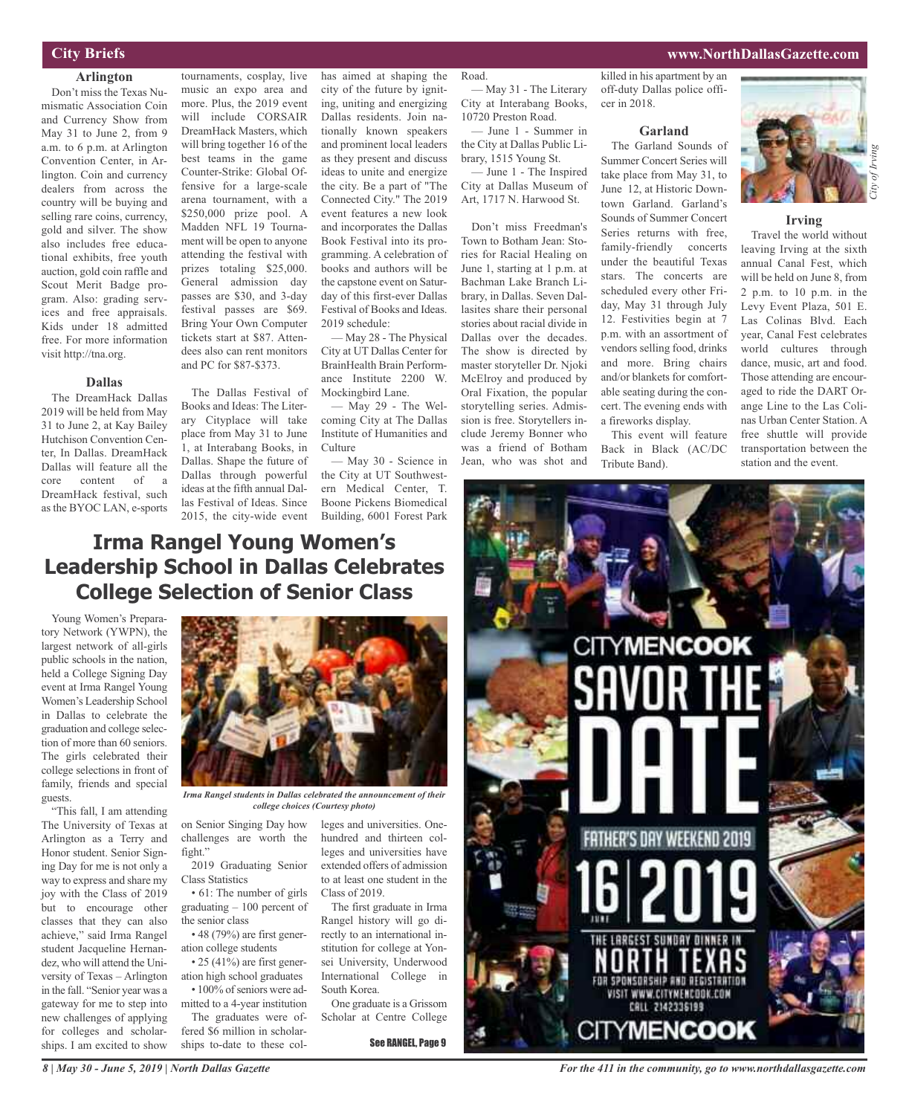#### **City Briefs**

#### **Arlington**

Don't miss the Texas Numismatic Association Coin and Currency Show from May 31 to June 2, from 9 a.m. to 6 p.m. at Arlington Convention Center, in Arlington. Coin and currency dealers from across the country will be buying and selling rare coins, currency, gold and silver. The show also includes free educational exhibits, free youth auction, gold coin raffle and Scout Merit Badge program. Also: grading services and free appraisals. Kids under 18 admitted free. For more information visit http://tna.org.

#### **Dallas**

The DreamHack Dallas 2019 will be held from May 31 to June 2, at Kay Bailey Hutchison Convention Center, In Dallas. DreamHack Dallas will feature all the core content of a DreamHack festival, such as the BYOC LAN, e-sports

and PC for \$87-\$373. The Dallas Festival of Books and Ideas: The Literary Cityplace will take place from May 31 to June 1, at Interabang Books, in Dallas. Shape the future of Dallas through powerful ideas at the fifth annual Dallas Festival of Ideas. Since 2015, the city-wide event

dees also can rent monitors

tournaments, cosplay, live music an expo area and more. Plus, the 2019 event will include CORSAIR DreamHack Masters, which will bring together 16 of the best teams in the game Counter-Strike: Global Offensive for a large-scale arena tournament, with a \$250,000 prize pool. A Madden NFL 19 Tournament will be open to anyone attending the festival with prizes totaling \$25,000. General admission day passes are \$30, and 3-day festival passes are \$69. Bring Your Own Computer tickets start at \$87. Attenhas aimed at shaping the city of the future by igniting, uniting and energizing Dallas residents. Join nationally known speakers and prominent local leaders as they present and discuss ideas to unite and energize the city. Be a part of "The Connected City." The 2019 event features a new look and incorporates the Dallas Book Festival into its programming. A celebration of books and authors will be the capstone event on Saturday of this first-ever Dallas Festival of Books and Ideas. 2019 schedule:

— May 28 - The Physical City at UT Dallas Center for BrainHealth Brain Performance Institute 2200 W. Mockingbird Lane.

— May 29 - The Welcoming City at The Dallas Institute of Humanities and Culture

— May 30 - Science in the City at UT Southwestern Medical Center, T. Boone Pickens Biomedical Building, 6001 Forest Park

#### Road.

— May 31 - The Literary City at Interabang Books, 10720 Preston Road.

— June 1 - Summer in the City at Dallas Public Library, 1515 Young St.

— June 1 - The Inspired City at Dallas Museum of Art, 1717 N. Harwood St.

Don't miss Freedman's Town to Botham Jean: Stories for Racial Healing on June 1, starting at 1 p.m. at Bachman Lake Branch Library, in Dallas. Seven Dallasites share their personal stories about racial divide in Dallas over the decades. The show is directed by master storyteller Dr. Njoki McElroy and produced by Oral Fixation, the popular storytelling series. Admission is free. Storytellers include Jeremy Bonner who was a friend of Botham Jean, who was shot and

killed in his apartment by an off-duty Dallas police officer in 2018.

#### **Garland**

The Garland Sounds of Summer Concert Series will take place from May 31, to June 12, at Historic Downtown Garland. Garland's Sounds of Summer Concert Series returns with free, family-friendly concerts under the beautiful Texas stars. The concerts are scheduled every other Friday, May 31 through July 12. Festivities begin at 7 p.m. with an assortment of vendors selling food, drinks and more. Bring chairs and/or blankets for comfortable seating during the concert. The evening ends with a fireworks display.

This event will feature Back in Black (AC/DC Tribute Band).



#### **Irving**

Travel the world without leaving Irving at the sixth annual Canal Fest, which will be held on June 8, from 2 p.m. to 10 p.m. in the Levy Event Plaza, 501 E. Las Colinas Blvd. Each year, Canal Fest celebrates world cultures through dance, music, art and food. Those attending are encouraged to ride the DART Orange Line to the Las Colinas Urban Center Station. A free shuttle will provide transportation between the station and the event.

### **Irma Rangel Young Women's Leadership School in Dallas Celebrates College Selection of Senior Class**

Young Women's Preparatory Network (YWPN), the largest network of all-girls public schools in the nation, held a College Signing Day event at Irma Rangel Young Women's Leadership School in Dallas to celebrate the graduation and college selection of more than 60 seniors. The girls celebrated their college selections in front of family, friends and special guests.

"This fall, I am attending The University of Texas at Arlington as a Terry and Honor student. Senior Signing Day for me is not only a way to express and share my joy with the Class of 2019 but to encourage other classes that they can also achieve," said Irma Rangel student Jacqueline Hernandez, who will attend the University of Texas – Arlington in the fall. "Senior year was a gateway for me to step into new challenges of applying for colleges and scholarships. I am excited to show

*8 | May 30 - June 5, 2019 | North Dallas Gazette*



*Irma Rangel students in Dallas celebrated the announcement of their college choices (Courtesy photo)*

on Senior Singing Day how challenges are worth the fight."

2019 Graduating Senior Class Statistics

• 61: The number of girls graduating – 100 percent of the senior class

• 48 (79%) are first generation college students

• 25 (41%) are first generation high school graduates • 100% of seniors were ad-

mitted to a 4-year institution The graduates were offered \$6 million in scholarships to-date to these col-

leges and universities. Onehundred and thirteen colleges and universities have extended offers of admission to at least one student in the Class of 2019.

The first graduate in Irma Rangel history will go directly to an international institution for college at Yonsei University, Underwood International College in South Korea.

One graduate is a Grissom Scholar at Centre College

See RANGEL, Page 9



*For the 411 in the community, go to www.northdallasgazette.com*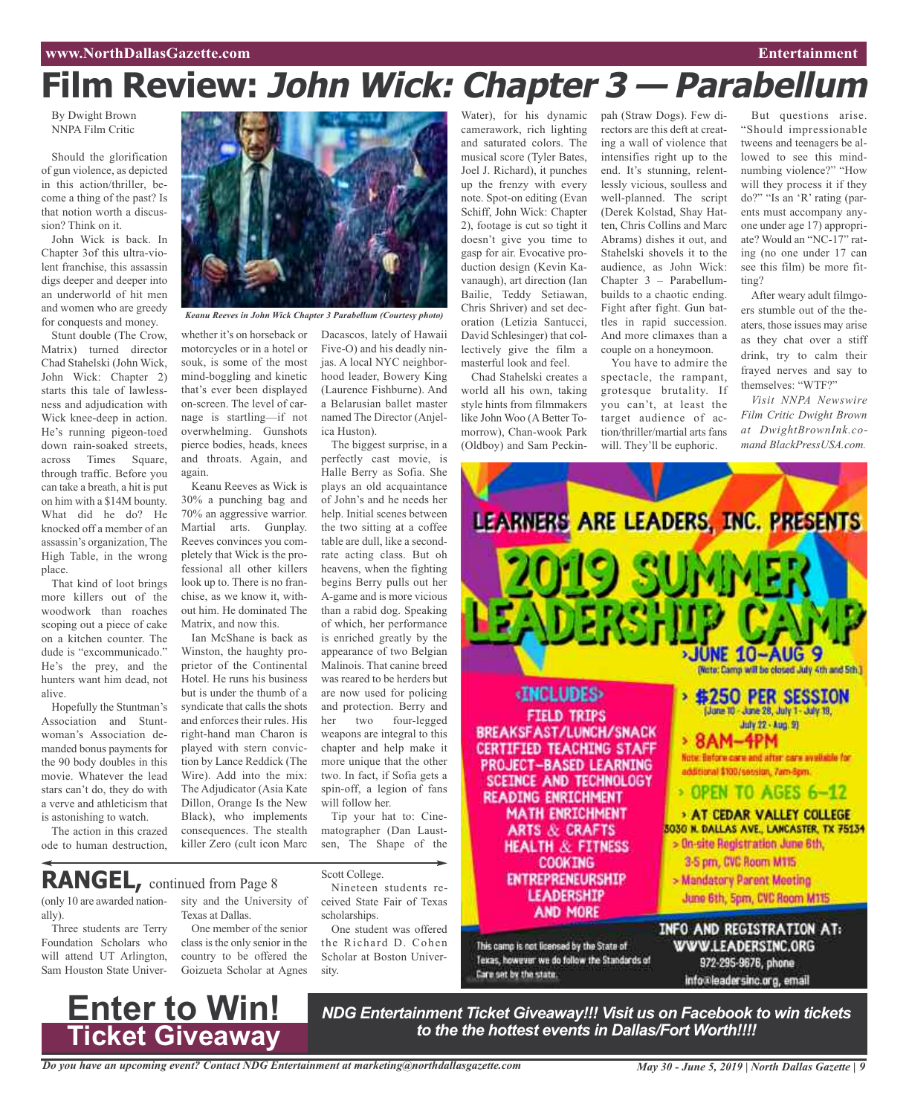# **Film Review: John Wick: Chapter 3 — Parabellum**

By Dwight Brown NNPA Film Critic

Should the glorification of gun violence, as depicted in this action/thriller, become a thing of the past? Is that notion worth a discussion? Think on it.

John Wick is back. In Chapter 3of this ultra-violent franchise, this assassin digs deeper and deeper into an underworld of hit men and women who are greedy for conquests and money.

Stunt double (The Crow, Matrix) turned director Chad Stahelski (John Wick, John Wick: Chapter 2) starts this tale of lawlessness and adjudication with Wick knee-deep in action. He's running pigeon-toed down rain-soaked streets, across Times Square, through traffic. Before you can take a breath, a hit is put on him with a \$14M bounty. What did he do? He knocked off a member of an assassin's organization, The High Table, in the wrong place.

That kind of loot brings more killers out of the woodwork than roaches scoping out a piece of cake on a kitchen counter. The dude is "excommunicado." He's the prey, and the hunters want him dead, not alive.

Hopefully the Stuntman's Association and Stuntwoman's Association demanded bonus payments for the 90 body doubles in this movie. Whatever the lead stars can't do, they do with a verve and athleticism that is astonishing to watch.

The action in this crazed ode to human destruction,



*Keanu Reeves in John Wick Chapter 3 Parabellum (Courtesy photo)*

whether it's on horseback or motorcycles or in a hotel or souk, is some of the most mind-boggling and kinetic that's ever been displayed on-screen. The level of carnage is startling—if not overwhelming. Gunshots pierce bodies, heads, knees and throats. Again, and again.

Keanu Reeves as Wick is 30% a punching bag and 70% an aggressive warrior. Martial arts. Gunplay. Reeves convinces you completely that Wick is the professional all other killers look up to. There is no franchise, as we know it, without him. He dominated The Matrix, and now this.

Ian McShane is back as Winston, the haughty proprietor of the Continental Hotel. He runs his business but is under the thumb of a syndicate that calls the shots and enforces their rules. His right-hand man Charon is played with stern conviction by Lance Reddick (The Wire). Add into the mix: The Adjudicator (Asia Kate Dillon, Orange Is the New Black), who implements consequences. The stealth killer Zero (cult icon Marc

Dacascos, lately of Hawaii Five-O) and his deadly ninjas. A local NYC neighborhood leader, Bowery King (Laurence Fishburne). And a Belarusian ballet master named The Director (Anjelica Huston).

The biggest surprise, in a perfectly cast movie, is Halle Berry as Sofia. She plays an old acquaintance of John's and he needs her help. Initial scenes between the two sitting at a coffee table are dull, like a secondrate acting class. But oh heavens, when the fighting begins Berry pulls out her A-game and is more vicious than a rabid dog. Speaking of which, her performance is enriched greatly by the appearance of two Belgian Malinois. That canine breed was reared to be herders but are now used for policing and protection. Berry and her two four-legged weapons are integral to this chapter and help make it more unique that the other two. In fact, if Sofia gets a spin-off, a legion of fans will follow her.

Tip your hat to: Cinematographer (Dan Laustsen, The Shape of the

**RANGEL,** continued from Page <sup>8</sup>

**Enter to Win!**

**Ticket Giveaway**

(only 10 are awarded nationally).

Three students are Terry Foundation Scholars who will attend UT Arlington, Sam Houston State University and the University of Texas at Dallas.

One member of the senior class is the only senior in the country to be offered the Goizueta Scholar at Agnes Scott College.

Nineteen students received State Fair of Texas scholarships.

One student was offered the Richard D. Cohen Scholar at Boston University.

camerawork, rich lighting and saturated colors. The musical score (Tyler Bates, Joel J. Richard), it punches up the frenzy with every note. Spot-on editing (Evan Schiff, John Wick: Chapter 2), footage is cut so tight it doesn't give you time to gasp for air. Evocative production design (Kevin Kavanaugh), art direction (Ian Bailie, Teddy Setiawan, Chris Shriver) and set decoration (Letizia Santucci, David Schlesinger) that collectively give the film a masterful look and feel.

Chad Stahelski creates a world all his own, taking style hints from filmmakers like John Woo (A Better Tomorrow), Chan-wook Park (Oldboy) and Sam Peckin-

Water), for his dynamic pah (Straw Dogs). Few directors are this deft at creating a wall of violence that intensifies right up to the end. It's stunning, relentlessly vicious, soulless and well-planned. The script (Derek Kolstad, Shay Hatten, Chris Collins and Marc Abrams) dishes it out, and Stahelski shovels it to the audience, as John Wick: Chapter 3 – Parabellumbuilds to a chaotic ending. Fight after fight. Gun battles in rapid succession. And more climaxes than a couple on a honeymoon.

You have to admire the spectacle, the rampant, grotesque brutality. If you can't, at least the target audience of action/thriller/martial arts fans will. They'll be euphoric.

But questions arise. "Should impressionable tweens and teenagers be allowed to see this mindnumbing violence?" "How will they process it if they do?" "Is an 'R' rating (parents must accompany anyone under age 17) appropriate? Would an "NC-17" rating (no one under 17 can see this film) be more fitting?

After weary adult filmgoers stumble out of the theaters, those issues may arise as they chat over a stiff drink, try to calm their frayed nerves and say to themselves: "WTF?"

*Visit NNPA Newswire Film Critic Dwight Brown at DwightBrownInk.comand BlackPressUSA.com.*



*to the the hottest events in Dallas/Fort Worth!!!!*

*Do you have an upcoming event? Contact NDG Entertainment at marketing@northdallasgazette.com*

*May 30 - June 5, 2019 | North Dallas Gazette | 9*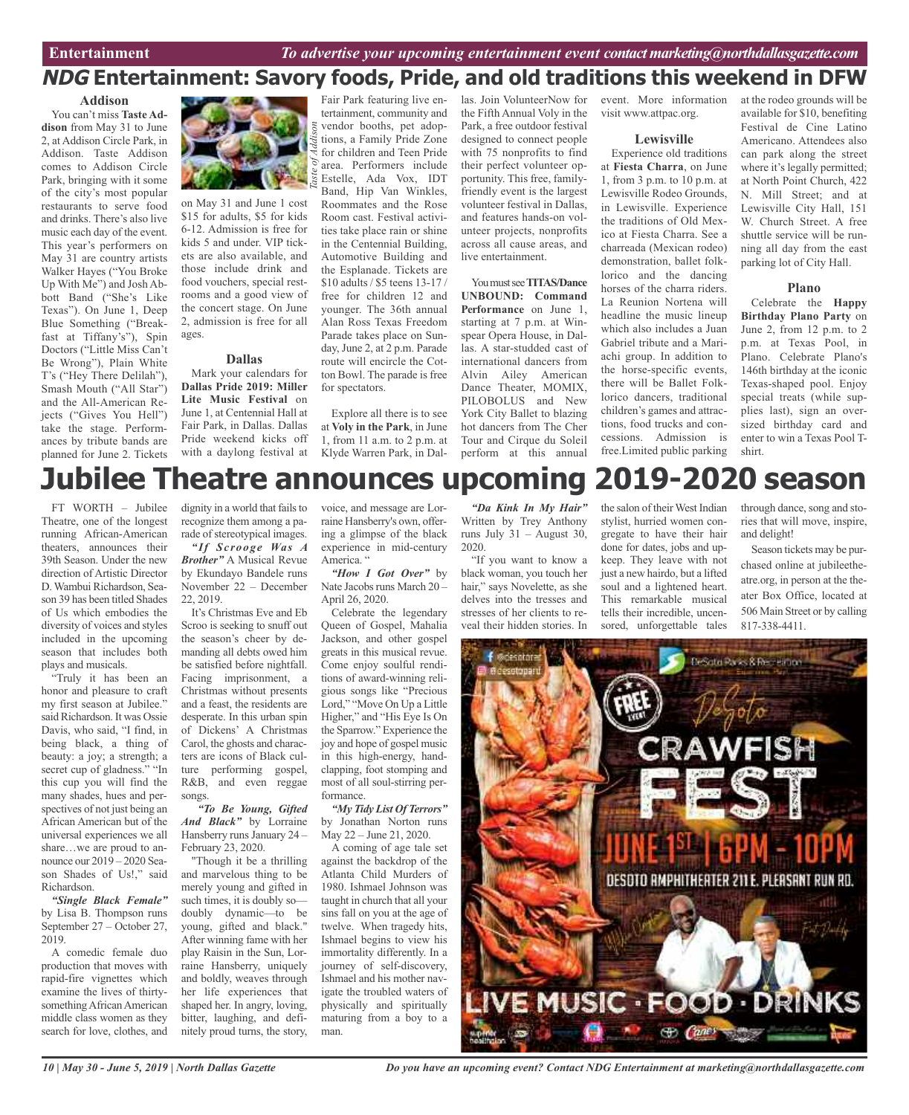## **NDG Entertainment: Savory foods, Pride, and old traditions this weekend in DFW**

#### **Addison**

You can't miss **Taste Addison** from May 31 to June 2, at Addison Circle Park, in Addison. Taste Addison comes to Addison Circle Park, bringing with it some of the city's most popular restaurants to serve food and drinks. There's also live music each day of the event. This year's performers on May 31 are country artists Walker Hayes ("You Broke Up With Me") and Josh Abbott Band ("She's Like Texas"). On June 1, Deep Blue Something ("Breakfast at Tiffany's"), Spin Doctors ("Little Miss Can't Be Wrong"), Plain White T's ("Hey There Delilah"), Smash Mouth ("All Star") and the All-American Rejects ("Gives You Hell") take the stage. Performances by tribute bands are planned for June 2. Tickets



on May 31 and June 1 cost \$15 for adults, \$5 for kids 6-12. Admission is free for kids 5 and under. VIP tickets are also available, and those include drink and food vouchers, special restrooms and a good view of the concert stage. On June 2, admission is free for all ages.

#### **Dallas**

Mark your calendars for **Dallas Pride 2019: Miller Lite Music Festival** on June 1, at Centennial Hall at Fair Park, in Dallas. Dallas Pride weekend kicks off with a daylong festival at

Fair Park featuring live entertainment, community and vendor booths, pet adoptions, a Family Pride Zone for children and Teen Pride area. Performers include Estelle, Ada Vox, IDT Band, Hip Van Winkles, Roommates and the Rose Room cast. Festival activities take place rain or shine in the Centennial Building, Automotive Building and the Esplanade. Tickets are \$10 adults / \$5 teens 13-17 / free for children 12 and younger. The 36th annual Alan Ross Texas Freedom Parade takes place on Sunday, June 2, at 2 p.m. Parade route will encircle the Cotton Bowl. The parade is free for spectators.

Explore all there is to see at **Voly in the Park**, in June 1, from 11 a.m. to 2 p.m. at Klyde Warren Park, in Dallas. Join VolunteerNow for the Fifth Annual Voly in the Park, a free outdoor festival designed to connect people with 75 nonprofits to find their perfect volunteer opportunity. This free, familyfriendly event is the largest volunteer festival in Dallas, and features hands-on volunteer projects, nonprofits across all cause areas, and live entertainment.

You must see **TITAS/Dance UNBOUND: Command Performance** on June 1, starting at 7 p.m. at Winspear Opera House, in Dallas. A star-studded cast of international dancers from Alvin Ailey American Dance Theater, MOMIX, PILOBOLUS and New York City Ballet to blazing hot dancers from The Cher Tour and Cirque du Soleil perform at this annual

event. More information visit www.attpac.org.

#### **Lewisville**

Experience old traditions at **Fiesta Charra**, on June 1, from 3 p.m. to 10 p.m. at Lewisville Rodeo Grounds, in Lewisville. Experience the traditions of Old Mexico at Fiesta Charra. See a charreada (Mexican rodeo) demonstration, ballet folklorico and the dancing horses of the charra riders. La Reunion Nortena will headline the music lineup which also includes a Juan Gabriel tribute and a Mariachi group. In addition to the horse-specific events, there will be Ballet Folklorico dancers, traditional children's games and attractions, food trucks and concessions. Admission is free.Limited public parking at the rodeo grounds will be available for \$10, benefiting Festival de Cine Latino Americano. Attendees also can park along the street where it's legally permitted; at North Point Church, 422 N. Mill Street; and at Lewisville City Hall, 151 W. Church Street. A free shuttle service will be running all day from the east parking lot of City Hall.

#### **Plano**

Celebrate the **Happy Birthday Plano Party** on June 2, from 12 p.m. to 2 p.m. at Texas Pool, in Plano. Celebrate Plano's 146th birthday at the iconic Texas-shaped pool. Enjoy special treats (while supplies last), sign an oversized birthday card and enter to win a Texas Pool Tshirt.

# **Jubilee Theatre announces upcoming 2019-2020 season**

FT WORTH – Jubilee Theatre, one of the longest running African-American theaters, announces their 39th Season. Under the new direction of Artistic Director D.Wambui Richardson, Season 39 has been titled Shades of Us which embodies the diversity of voices and styles included in the upcoming season that includes both plays and musicals.

"Truly it has been an honor and pleasure to craft my first season at Jubilee." said Richardson. It was Ossie Davis, who said, "I find, in being black, a thing of beauty: a joy; a strength; a secret cup of gladness." "In this cup you will find the many shades, hues and perspectives of not just being an African American but of the universal experiences we all share…we are proud to announce our 2019 – 2020 Season Shades of Us!," said Richardson.

*"Single Black Female"* by Lisa B. Thompson runs September 27 – October 27, 2019.

A comedic female duo production that moves with rapid-fire vignettes which examine the lives of thirtysomething African American middle class women as they search for love, clothes, and dignity in a world that fails to recognize them among a parade of stereotypical images.

*"If Scrooge Was A Brother"* A Musical Revue by Ekundayo Bandele runs November 22 – December 22, 2019.

It's Christmas Eve and Eb Scroo is seeking to snuff out the season's cheer by demanding all debts owed him be satisfied before nightfall. Facing imprisonment, a Christmas without presents and a feast, the residents are desperate. In this urban spin of Dickens' A Christmas Carol, the ghosts and characters are icons of Black culture performing gospel, R&B, and even reggae songs.

*"To Be Young, Gifted And Black"* by Lorraine Hansberry runs January 24 – February 23, 2020.

"Though it be a thrilling and marvelous thing to be merely young and gifted in such times, it is doubly so doubly dynamic—to be young, gifted and black." After winning fame with her play Raisin in the Sun, Lorraine Hansberry, uniquely and boldly, weaves through her life experiences that shaped her. In angry, loving, bitter, laughing, and definitely proud turns, the story, voice, and message are Lorraine Hansberry's own, offering a glimpse of the black experience in mid-century America. "

*"How I Got Over"* by Nate Jacobs runs March 20 -April 26, 2020.

Celebrate the legendary Queen of Gospel, Mahalia Jackson, and other gospel greats in this musical revue. Come enjoy soulful renditions of award-winning religious songs like "Precious Lord," "Move On Up a Little Higher," and "His Eye Is On the Sparrow." Experience the joy and hope of gospel music in this high-energy, handclapping, foot stomping and most of all soul-stirring performance.

*"My Tidy List Of Terrors"* by Jonathan Norton runs May 22 – June 21, 2020.

A coming of age tale set against the backdrop of the Atlanta Child Murders of 1980. Ishmael Johnson was taught in church that all your sins fall on you at the age of twelve. When tragedy hits, Ishmael begins to view his immortality differently. In a journey of self-discovery, Ishmael and his mother navigate the troubled waters of physically and spiritually maturing from a boy to a man.

*"Da Kink In My Hair"* Written by Trey Anthony runs July  $31 -$ August 30, 2020.

"If you want to know a black woman, you touch her hair," says Novelette, as she delves into the tresses and stresses of her clients to reveal their hidden stories. In

the salon of their West Indian stylist, hurried women congregate to have their hair done for dates, jobs and upkeep. They leave with not just a new hairdo, but a lifted soul and a lightened heart. This remarkable musical tells their incredible, uncensored, unforgettable tales

through dance, song and stories that will move, inspire, and delight!

Season tickets may be purchased online at jubileetheatre.org, in person at the theater Box Office, located at 506 Main Street or by calling 817-338-4411.



*Do you have an upcoming event? Contact NDG Entertainment at marketing@northdallasgazette.com*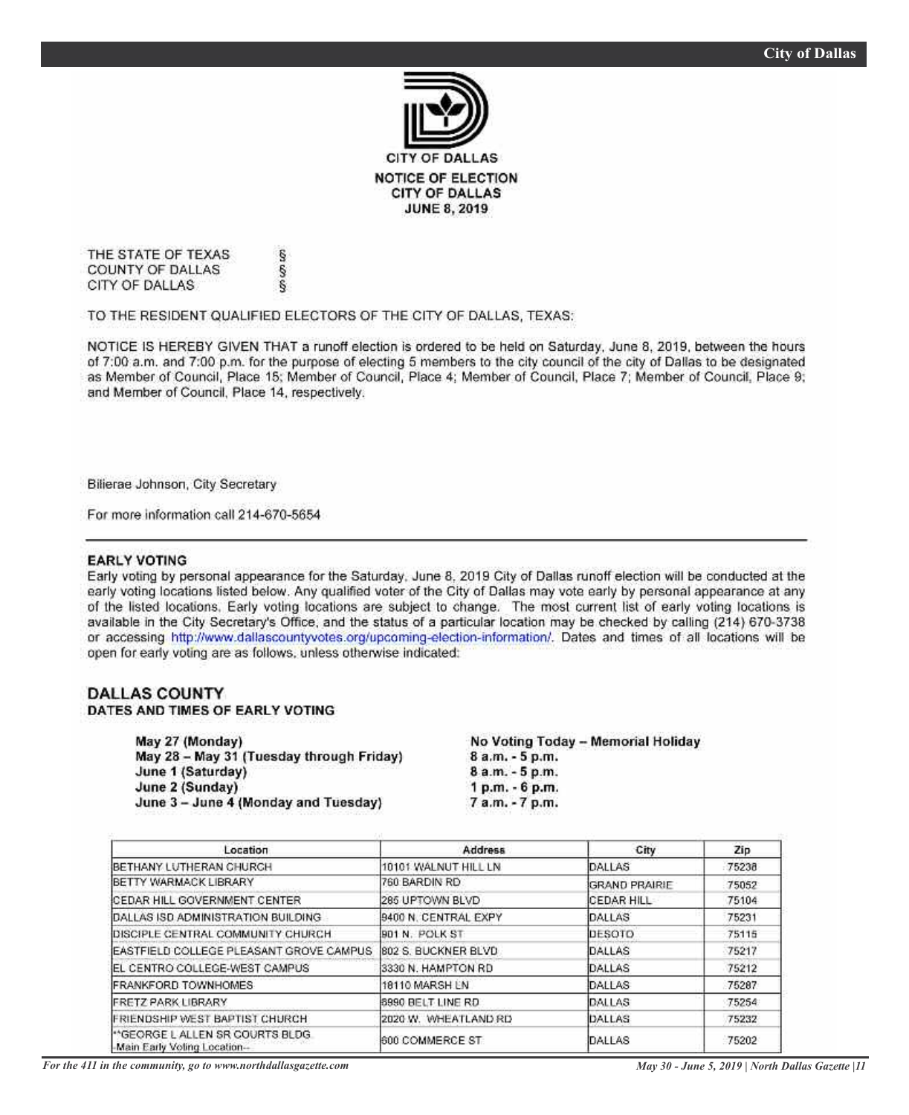

THE STATE OF TEXAS COUNTY OF DALLAS CITY OF DALLAS

TO THE RESIDENT QUALIFIED ELECTORS OF THE CITY OF DALLAS, TEXAS:

co co co

NOTICE IS HEREBY GIVEN THAT a runoff election is ordered to be held on Saturday, June 8, 2019, between the hours of 7:00 a.m. and 7:00 p.m. for the purpose of electing 5 members to the city council of the city of Dallas to be designated as Member of Council, Place 15; Member of Council, Place 4; Member of Council, Place 7; Member of Council, Place 9; and Member of Council, Place 14, respectively.

Bilierae Johnson, City Secretary

For more information call 214-670-5654

#### **EARLY VOTING**

Early voting by personal appearance for the Saturday, June 8, 2019 City of Dallas runoff election will be conducted at the early voting locations listed below. Any qualified voter of the City of Dallas may vote early by personal appearance at any of the listed locations. Early voting locations are subject to change. The most current list of early voting locations is available in the City Secretary's Office, and the status of a particular location may be checked by calling (214) 670-3738 or accessing http://www.dallascountyvotes.org/upcoming-election-information/. Dates and times of all locations will be open for early voting are as follows, unless otherwise indicated:

#### **DALLAS COUNTY** DATES AND TIMES OF EARLY VOTING

| May 27 (Monday)                          | No Voting Today - Memorial Holiday |  |  |
|------------------------------------------|------------------------------------|--|--|
| May 28 - May 31 (Tuesday through Friday) | 8 a.m. - 5 p.m.                    |  |  |
| June 1 (Saturday)                        | 8 a.m. - 5 p.m.                    |  |  |
| June 2 (Sunday)                          | 1 p.m. - 6 p.m.                    |  |  |
| June 3 - June 4 (Monday and Tuesday)     | 7 a.m. - 7 p.m.                    |  |  |
|                                          |                                    |  |  |

| Location                                                       | <b>Address</b>       | City          | Zip   |
|----------------------------------------------------------------|----------------------|---------------|-------|
| BETHANY LUTHERAN CHURCH                                        | 10101 WALNUT HILL LN | DALLAS        | 75238 |
| <b>IBETTY WARMACK LIBRARY</b>                                  | 760 BARDIN RD.       | GRAND PRAIRIE | 75052 |
| <b>CEDAR HILL GOVERNMENT CENTER</b>                            | 285 UPTOWN BLVD      | ICEDAR HILL   | 75104 |
| IDALLAS ISD ADMINISTRATION BUILDING.                           | 9400 N. CENTRAL EXPY | <b>DALLAS</b> | 75231 |
| DISCIPLE CENTRAL COMMUNITY CHURCH.                             | B01 N. POLK ST       | DESOTO        | 75115 |
| EASTFIELD COLLEGE PLEASANT GROVE CAMPUS                        | 802 S. BUCKNER BLVD  | DALLAS        | 75217 |
| EL CENTRO COLLEGE-WEST CAMPUS                                  | 3330 N. HAMPTON RD   | DALLAS        | 75212 |
| <b>IFRANKFORD TOWNHOMES</b>                                    | 18110 MARSH EN       | DALLAS        | 75287 |
| <b>FRETZ PARK LIBRARY</b>                                      | 8990 BELT LINE RD    | DALLAS        | 75254 |
| FRIENDSHIP WEST BAPTIST CHURCH                                 | 2020 W. WHEATLAND RD | DALLAS        | 75232 |
| "GEORGE LALLEN SR COURTS BLDG.<br>-Main Early Voting Location- | 600 COMMERCE ST      | DALLAS        | 75202 |

*For the 411 in the community, go to www.northdallasgazette.com*

*May 30 - June 5, 2019 | North Dallas Gazette |11*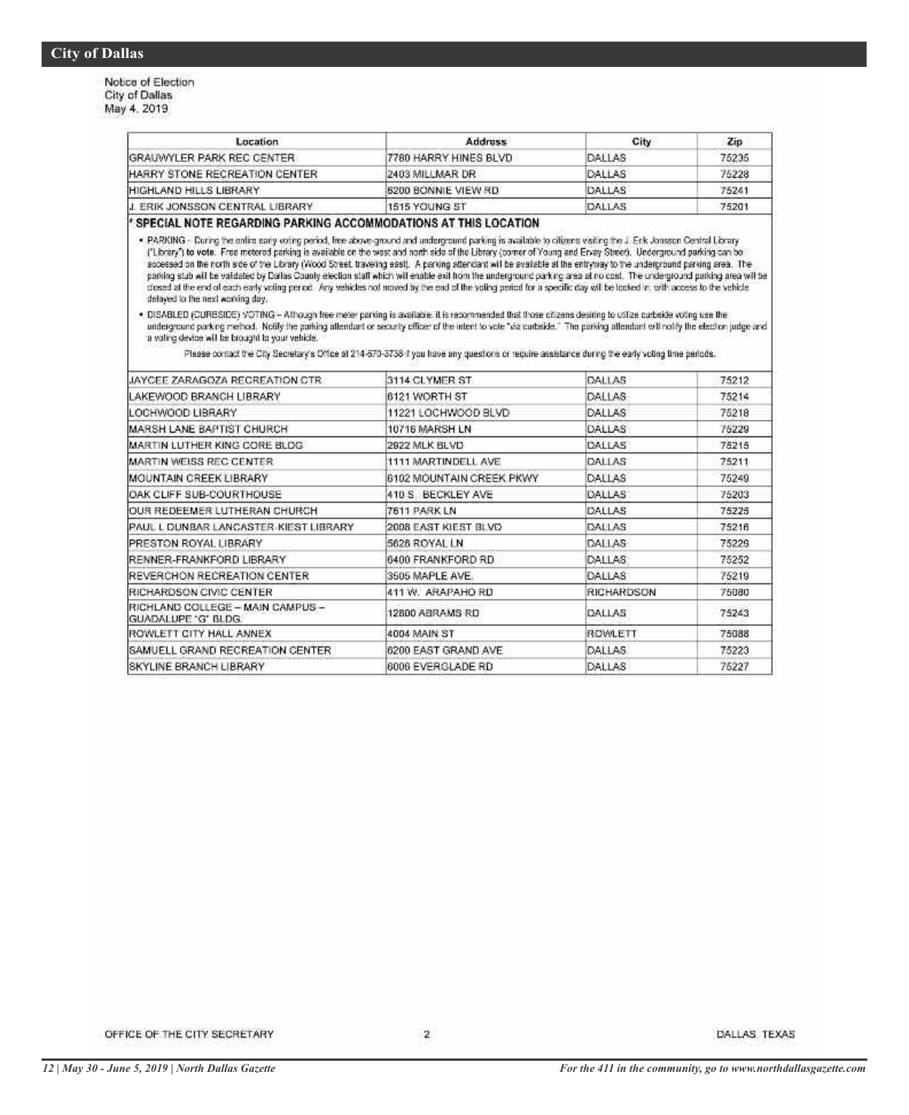Notice of Election<br>City of Dallas May 4, 2019

| Location                                                                                                                                                                                                                                                                                                                                                                                                                                                                                                                                                                                                                                                                                                                                                                                                                                                                                            | Address                                                                                                                                          | City                | Zip   |
|-----------------------------------------------------------------------------------------------------------------------------------------------------------------------------------------------------------------------------------------------------------------------------------------------------------------------------------------------------------------------------------------------------------------------------------------------------------------------------------------------------------------------------------------------------------------------------------------------------------------------------------------------------------------------------------------------------------------------------------------------------------------------------------------------------------------------------------------------------------------------------------------------------|--------------------------------------------------------------------------------------------------------------------------------------------------|---------------------|-------|
| GRAUWYLER PARK REC CENTER                                                                                                                                                                                                                                                                                                                                                                                                                                                                                                                                                                                                                                                                                                                                                                                                                                                                           | 7780 HARRY HINES BLVD                                                                                                                            | <b>DALLAS</b>       | 75235 |
| HARRY STONE RECREATION CENTER                                                                                                                                                                                                                                                                                                                                                                                                                                                                                                                                                                                                                                                                                                                                                                                                                                                                       | 2403 MILLMAR DR                                                                                                                                  | DALLAS              | 75228 |
| HIGHLAND HILLS LIBRARY                                                                                                                                                                                                                                                                                                                                                                                                                                                                                                                                                                                                                                                                                                                                                                                                                                                                              | <b>5200 BONNIE VIEW RD</b>                                                                                                                       | DALLAS              | 75241 |
| J. ERIK JONSSON CENTRAL LIBRARY                                                                                                                                                                                                                                                                                                                                                                                                                                                                                                                                                                                                                                                                                                                                                                                                                                                                     | 1515 YOUNG ST                                                                                                                                    | DALLAS:             | 75201 |
| SPECIAL NOTE REGARDING PARKING ACCOMMODATIONS AT THIS LOCATION                                                                                                                                                                                                                                                                                                                                                                                                                                                                                                                                                                                                                                                                                                                                                                                                                                      |                                                                                                                                                  |                     |       |
| . PARKING - During the online sady voting period, free above-ground and underground parking is available to citizens visiting the J. Erik Joanson Central Library<br>("Library") to vote. Free metered parking is available on the wast and north side of the Library (comer of Young and Ervay Street). Underground parking can be<br>accessed on the north side of the Library (Wood Street, traveling east). A perking attendant will be available at the entryway to the underground parking area. The<br>parking stub will be validated by Dallas County election staff which will enable exit from the underground parking area at no cost. The underground parking area will be<br>closed at the end of each early voting pence. Any vehicles not moved by the end of the voting period for a specific day will be tooked in, with access to the vehicle<br>delayed to the next working day. |                                                                                                                                                  |                     |       |
| . DISABLED (CURESIDE) VOTING - Athough free meter parking is available. It is recommended that those ofizens desiring to utilize curbaide voting use the<br>underground parking method. Notify the parking attendant or security officer of the intent to vote "via curbside." The parking attendant withodify the election judge and<br>a voting device will be brought to your vehicle.                                                                                                                                                                                                                                                                                                                                                                                                                                                                                                           | Please contact the City Secretary's Office at 214-573-3736 if you have any questions or require assistance during the early voting time periods. |                     |       |
|                                                                                                                                                                                                                                                                                                                                                                                                                                                                                                                                                                                                                                                                                                                                                                                                                                                                                                     |                                                                                                                                                  |                     |       |
| JAYCEE ZARAGOZA RECREATION CTR                                                                                                                                                                                                                                                                                                                                                                                                                                                                                                                                                                                                                                                                                                                                                                                                                                                                      | 3114 CLYMER ST.                                                                                                                                  | DALLAS              | 75212 |
| LAKEWOOD BRANCH LIBRARY                                                                                                                                                                                                                                                                                                                                                                                                                                                                                                                                                                                                                                                                                                                                                                                                                                                                             | 6121 WORTH ST                                                                                                                                    | DALLAS              | 75214 |
| LOCHWOOD LIBRARY                                                                                                                                                                                                                                                                                                                                                                                                                                                                                                                                                                                                                                                                                                                                                                                                                                                                                    | 11221 LOCHWOOD BLVD                                                                                                                              | DALLAS              | 75218 |
| MARSH LANE BAPTIST CHURCH                                                                                                                                                                                                                                                                                                                                                                                                                                                                                                                                                                                                                                                                                                                                                                                                                                                                           | 10716 MARSH LN                                                                                                                                   | DALLAS <sup>®</sup> | 75229 |
| MARTIN LUTHER KING CORE BLDG                                                                                                                                                                                                                                                                                                                                                                                                                                                                                                                                                                                                                                                                                                                                                                                                                                                                        | 2922 MLK BLVD                                                                                                                                    | DALLAS              | 75215 |
| MARTIN WEISS REC CENTER                                                                                                                                                                                                                                                                                                                                                                                                                                                                                                                                                                                                                                                                                                                                                                                                                                                                             | 1111 MARTINDELL AVE                                                                                                                              | DALLAS.             | 75211 |
| MOUNTAIN CREEK LIBRARY.                                                                                                                                                                                                                                                                                                                                                                                                                                                                                                                                                                                                                                                                                                                                                                                                                                                                             | 6102 MOUNTAIN CREEK PKWY                                                                                                                         | DALLAS              | 75249 |
| OAK CLIFF SUB-COURTHOUSE                                                                                                                                                                                                                                                                                                                                                                                                                                                                                                                                                                                                                                                                                                                                                                                                                                                                            | 410 S. BECKLEY AVE                                                                                                                               | DALLAS              | 75203 |
| OUR REDEEMER LUTHERAN CHURCH                                                                                                                                                                                                                                                                                                                                                                                                                                                                                                                                                                                                                                                                                                                                                                                                                                                                        | 7611 PARK LN                                                                                                                                     | DALLAS              | 75225 |
| PAUL L DUNBAR LANCASTER-KIEST LIBRARY                                                                                                                                                                                                                                                                                                                                                                                                                                                                                                                                                                                                                                                                                                                                                                                                                                                               | 2008 EAST KIEST BLVD                                                                                                                             | DALLAS              | 75216 |
| PRESTON ROYAL LIBRARY                                                                                                                                                                                                                                                                                                                                                                                                                                                                                                                                                                                                                                                                                                                                                                                                                                                                               | 5626 ROYAL LN                                                                                                                                    | DALLAS-             |       |
| RENNER-FRANKFORD LIBRARY                                                                                                                                                                                                                                                                                                                                                                                                                                                                                                                                                                                                                                                                                                                                                                                                                                                                            | 6400 FRANKFORD RD                                                                                                                                | <b>DALLAS</b>       | 75229 |
|                                                                                                                                                                                                                                                                                                                                                                                                                                                                                                                                                                                                                                                                                                                                                                                                                                                                                                     |                                                                                                                                                  |                     | 75252 |
| <b>IREVERCHON RECREATION CENTER</b>                                                                                                                                                                                                                                                                                                                                                                                                                                                                                                                                                                                                                                                                                                                                                                                                                                                                 | 3505 MAPLE AVE.                                                                                                                                  | DALLAS              | 75219 |

12800 ABRAMS RD

6200 EAST GRAND AVE

6006 EVERGLADE RD

4004 MAIN ST

DALLAS

DALLAS

DALLAS

ROWLETT

RICHLAND COLLEGE - MAIN CAMPUS -

SAMUELL GRAND RECREATION CENTER

GUADALUPE 'G' BLDG.

ROWLETT CITY HALL ANNEX

SKYLINE BRANCH LIBRARY

75243

75088

75223

75227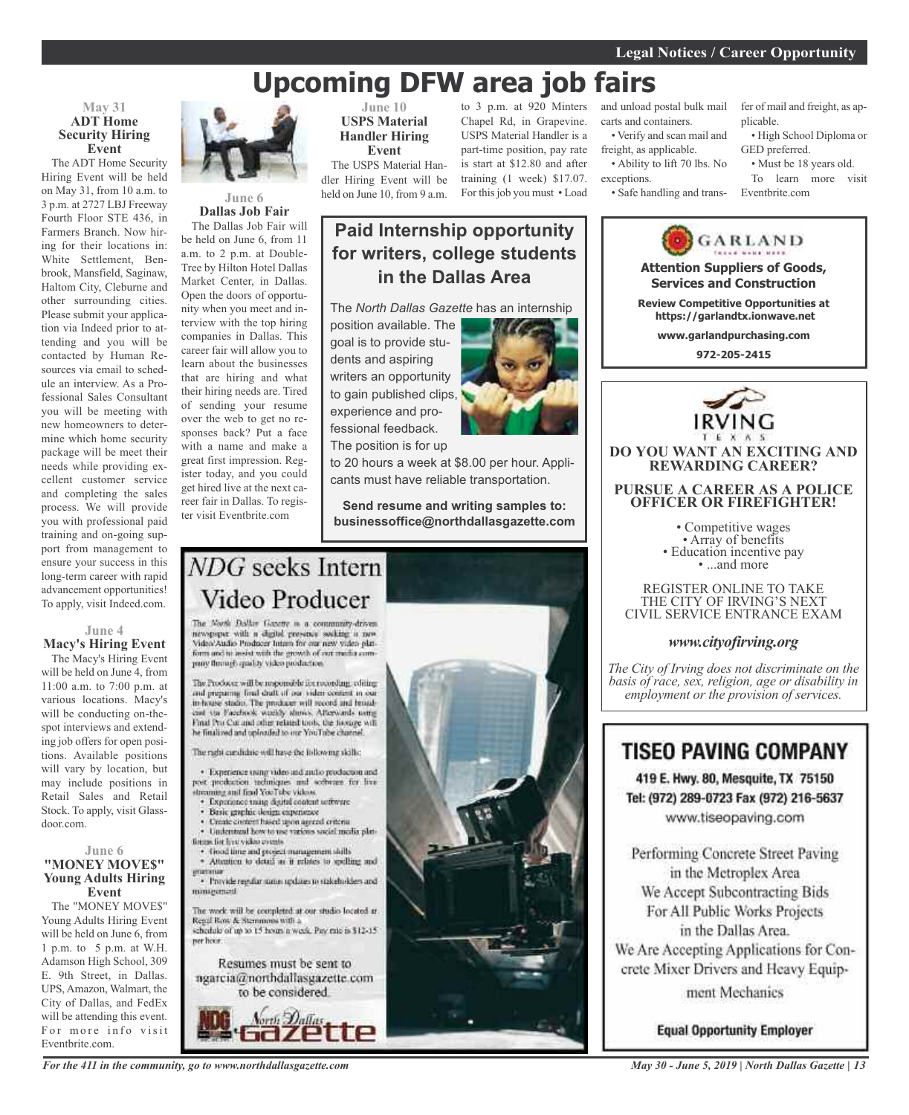# **Upcoming DFW area job fairs**

**Paid Internship opportunity**

**for writers, college students**

#### **May 31 ADT Home Security Hiring Event**

The ADT Home Security Hiring Event will be held on May 31, from 10 a.m. to 3 p.m. at 2727 LBJ Freeway Fourth Floor STE 436, in Farmers Branch. Now hiring for their locations in: White Settlement, Benbrook, Mansfield, Saginaw, Haltom City, Cleburne and other surrounding cities. Please submit your application via Indeed prior to attending and you will be contacted by Human Resources via email to schedule an interview. As a Professional Sales Consultant you will be meeting with new homeowners to determine which home security package will be meet their needs while providing excellent customer service and completing the sales process. We will provide you with professional paid training and on-going support from management to ensure your success in this long-term career with rapid advancement opportunities! To apply, visit Indeed.com.

**Macy's Hiring Event** The Macy's Hiring Event will be held on June 4, from 11:00 a.m. to 7:00 p.m. at various locations. Macy's will be conducting on-thespot interviews and extending job offers for open positions. Available positions will vary by location, but may include positions in Retail Sales and Retail Stock. To apply, visit Glassdoor.com.

#### **June 6 "MONEY MOVE\$" Young Adults Hiring Event**

The "MONEY MOVE\$" Young Adults Hiring Event will be held on June 6, from 1 p.m. to 5 p.m. at W.H. Adamson High School, 309 E. 9th Street, in Dallas. UPS, Amazon, Walmart, the City of Dallas, and FedEx will be attending this event. For more info visit Eventbrite.com.



#### **June 6 Dallas Job Fair**

The Dallas Job Fair will be held on June 6, from 11 a.m. to 2 p.m. at Double-Tree by Hilton Hotel Dallas Market Center, in Dallas. Open the doors of opportunity when you meet and interview with the top hiring companies in Dallas. This career fair will allow you to learn about the businesses that are hiring and what their hiring needs are. Tired of sending your resume over the web to get no responses back? Put a face with a name and make a great first impression. Register today, and you could get hired live at the next career fair in Dallas. To register visit Eventbrite.com

**June 10 USPS Material Handler Hiring Event** The USPS Material Han-

dler Hiring Event will be held on June 10, from 9 a.m.

to 3 p.m. at 920 Minters Chapel Rd, in Grapevine. USPS Material Handler is a part-time position, pay rate is start at \$12.80 and after training (1 week) \$17.07. For thisjob you must • Load

#### and unload postal bulk mail carts and containers. • Verify and scan mail and

freight, as applicable. • Ability to lift 70 lbs. No

exceptions.

fer of mail and freight, as applicable.

• High School Diploma or GED preferred. • Must be 18 years old.

To learn more visit

• Safe handling and trans-

Eventbrite.com GARLAND **Attention Suppliers of Goods, Services and Construction**

**Review Competitive Opportunities at https://garlandtx.ionwave.net**

**www.garlandpurchasing.com**

**972-205-2415**



**DO YOU WANT AN EXCITING AND REWARDING CAREER?**

**PURSUE A CAREER AS A POLICE OFFICER OR FIREFIGHTER!**

• Competitive wages<br>• Array of benefits<br>• Education incentive pay<br>• ...and more

REGISTER ONLINE TO TAKE THE CITY OF IRVING'S NEXT CIVIL SERVICE ENTRANCE EXAM

#### *www.cityofirving.org*

*The City of Irving does not discriminate on the basis of race, sex, religion, age or disability in employment or the provision of services.*

### **TISEO PAVING COMPANY**

419 E. Hwy. 80, Mesquite, TX 75150 Tel: (972) 289-0723 Fax (972) 216-5637 www.tiseopaving.com

Performing Concrete Street Paving in the Metroplex Area We Accept Subcontracting Bids For All Public Works Projects in the Dallas Area. We Are Accepting Applications for Concrete Mixer Drivers and Heavy Equipment Mechanics

**Equal Opportunity Employer** 



*For the 411 in the community, go to www.northdallasgazette.com*

#### *May 30 - June 5, 2019 | North Dallas Gazette | 13*

**in the Dallas Area** The *North Dallas Gazette* has an internship position available. The goal is to provide students and aspiring writers an opportunity

experience and professional feedback.

The position is for up

to 20 hours a week at \$8.00 per hour. Applicants must have reliable transportation.

**Send resume and writing samples to: businessoffice@northdallasgazette.com**

# NDG seeks Intern Video Producer

The North Dallas Gazette is a community-driven newspaper with a digital presence socking a new<br>Video/Audio Producer latam for our new video platform and in assist with the growth of our media company florings quality video production.

The Producer will be responsible for recording, editing and preparing final draft of our video content in our<br>in-house stadio. The producer will record and broadciat sta Facefieck weekly shows. Afterwards using Final Pro Cut and other related tools, the hostage will he finalized and uploaded to our YouTube channel.

The radii cardidate will have the following skills;

· Experience using video and and/o production and post production techniques and software for live streaming and find YouTube videos.

- · Experience using digital content settware
- Basic graphic design expensive
- Unite content hased upon agreed criteria . Understand how to use various social media plat-
- finges for live video events. · Good time and project management shills
- · Attention to detail as it relates to spelling and
- · Provide regular states updates to stakeholders and minarument

The work will be completed at our studio located at Regal Row & Stemmons with a<br>schedule of up to 15 hours a week. Pay rate is \$12-15 per hoor.

Resumes must be sent to ngarcia@northdallasgazette.com





# **June 4**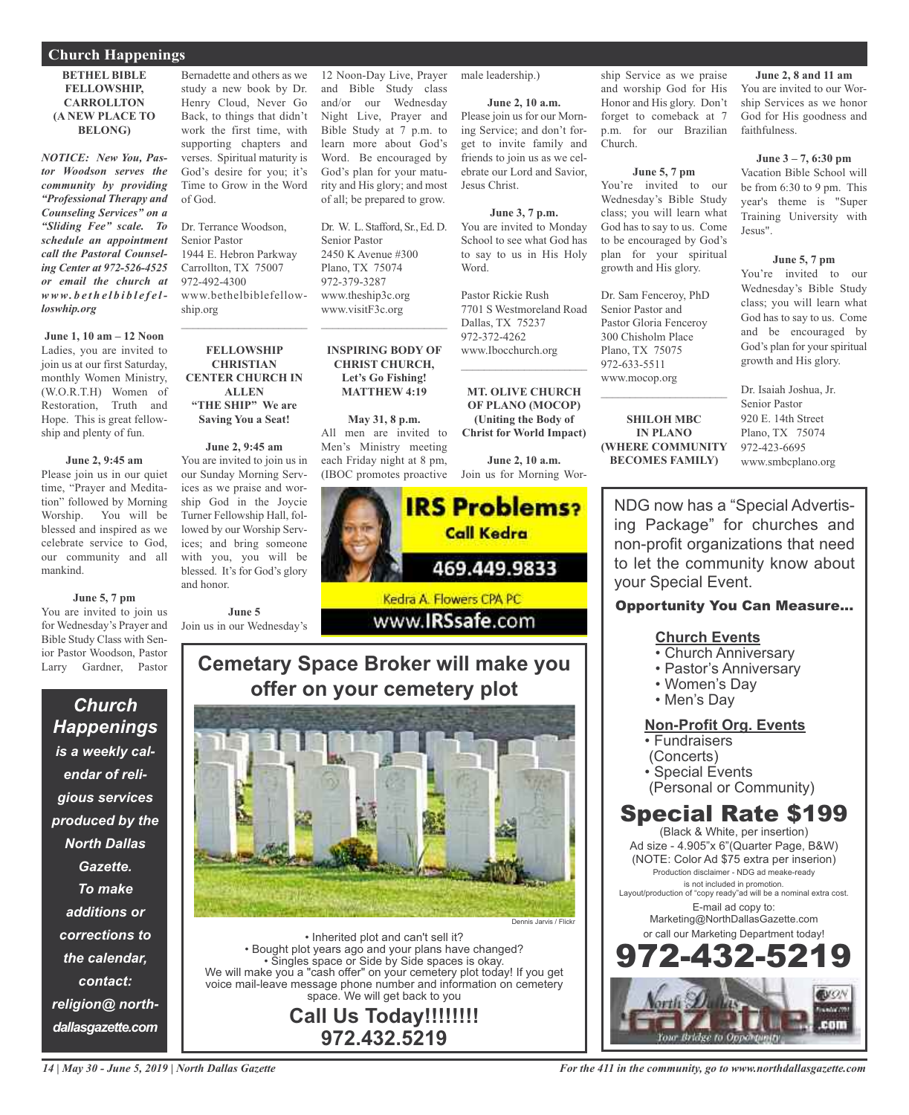#### **Church Happenings**

#### **BETHEL BIBLE FELLOWSHIP, CARROLLTON (A NEW PLACE TO BELONG)**

*NOTICE: New You, Pastor Woodson serves the community by providing "Professional Therapy and Counseling Services" on a "Sliding Fee" scale. To schedule an appointment call the Pastoral Counseling Center at 972-526-4525 or email the church at www. b e t h e l b i b l e f e lloswhip.org*

**June 1, 10 am – 12 Noon** Ladies, you are invited to join us at our first Saturday, monthly Women Ministry, (W.O.R.T.H) Women of Restoration, Truth and Hope. This is great fellowship and plenty of fun.

#### **June 2, 9:45 am**

Please join us in our quiet time, "Prayer and Meditation" followed by Morning Worship. You will be blessed and inspired as we celebrate service to God, our community and all mankind.

#### **June 5, 7 pm**

You are invited to join us for Wednesday's Prayer and Bible Study Class with Senior Pastor Woodson, Pastor Larry Gardner, Pastor

*Church Happenings is a weekly calendar of religious services produced by the North Dallas Gazette. To make additions or corrections to the calendar, contact: religion@ northdallasgazette.com*

Bernadette and others as we study a new book by Dr. Henry Cloud, Never Go Back, to things that didn't work the first time, with supporting chapters and verses. Spiritual maturity is God's desire for you; it's Time to Grow in the Word of God.

Dr. Terrance Woodson, Senior Pastor 1944 E. Hebron Parkway Carrollton, TX 75007 972-492-4300 www.bethelbiblefellowship.org

**FELLOWSHIP CHRISTIAN CENTER CHURCH IN ALLEN "THE SHIP" We are Saving You a Seat!**

 $\mathcal{L}_\text{max}$  , which is a set of the set of the set of the set of the set of the set of the set of the set of the set of the set of the set of the set of the set of the set of the set of the set of the set of the set of

**June 2, 9:45 am** You are invited to join us in our Sunday Morning Services as we praise and worship God in the Joycie Turner Fellowship Hall, followed by our Worship Services; and bring someone with you, you will be blessed. It's for God's glory and honor.

**June 5** Join us in our Wednesday's 12 Noon-Day Live, Prayer and Bible Study class and/or our Wednesday Night Live, Prayer and Bible Study at 7 p.m. to learn more about God's Word. Be encouraged by God's plan for your maturity and His glory; and most of all; be prepared to grow.

Dr. W. L. Stafford, Sr., Ed. D. Senior Pastor 2450 K Avenue #300 Plano, TX 75074 972-379-3287 www.theship3c.org www.visitF3c.org

**INSPIRING BODY OF CHRIST CHURCH, Let's Go Fishing! MATTHEW 4:19**

 $\overline{\phantom{a}}$  , and the set of the set of the set of the set of the set of the set of the set of the set of the set of the set of the set of the set of the set of the set of the set of the set of the set of the set of the s

**May 31, 8 p.m.** All men are invited to Men's Ministry meeting each Friday night at 8 pm, (IBOC promotes proactive

male leadership.)

**June 2, 10 a.m.**

Please join us for our Morning Service; and don't forget to invite family and friends to join us as we celebrate our Lord and Savior, Jesus Christ.

**June 3, 7 p.m.** You are invited to Monday School to see what God has to say to us in His Holy Word.

Pastor Rickie Rush 7701 S Westmoreland Road Dallas, TX 75237 972-372-4262 www.Ibocchurch.org

 $\mathcal{L}$  , and the set of the set of the set of the set of the set of the set of the set of the set of the set of the set of the set of the set of the set of the set of the set of the set of the set of the set of the set

**MT. OLIVE CHURCH OF PLANO (MOCOP) (Uniting the Body of Christ for World Impact)**

**June 2, 10 a.m.** Join us for Morning Wor-



www.**IRSsafe.com** 

## **Cemetary Space Broker will make you offer on your cemetery plot**



• Inherited plot and can't sell it? • Bought plot years ago and your plans have changed? • Singles space or Side by Side spaces is okay. We will make you a "cash offer" on your cemetery plot today! If you get voice mail-leave message phone number and information on cemetery space. We will get back to you

**Call Us Today!!!!!!!! 972.432.5219**

ship Service as we praise and worship God for His Honor and His glory. Don't forget to comeback at 7 p.m. for our Brazilian Church.

#### **June 5, 7 pm**

You're invited to our Wednesday's Bible Study class; you will learn what God has to say to us. Come to be encouraged by God's plan for your spiritual growth and His glory.

Dr. Sam Fenceroy, PhD Senior Pastor and Pastor Gloria Fenceroy 300 Chisholm Place Plano, TX 75075 972-633-5511 www.mocop.org

**SHILOH MBC IN PLANO (WHERE COMMUNITY BECOMES FAMILY)**

 $\mathcal{L}_\text{max}$  , which is a set of the set of the set of the set of the set of the set of the set of the set of the set of the set of the set of the set of the set of the set of the set of the set of the set of the set of

**June 2, 8 and 11 am** You are invited to our Worship Services as we honor God for His goodness and faithfulness.

#### **June 3 – 7, 6:30 pm**

Vacation Bible School will be from 6:30 to 9 pm. This year's theme is "Super Training University with Jesus".

#### **June 5, 7 pm**

You're invited to our Wednesday's Bible Study class; you will learn what God has to say to us. Come and be encouraged by God's plan for your spiritual growth and His glory.

Dr. Isaiah Joshua, Jr. Senior Pastor 920 E. 14th Street Plano, TX 75074 972-423-6695 www.smbcplano.org

NDG now has a "Special Advertising Package" for churches and non-profit organizations that need to let the community know about your Special Event.

### Opportunity You Can Measure...

### **Church Events**

- Church Anniversary
- Pastor's Anniversary
- Women's Day
- Men's Day

### **Non-Profit Org. Events**

• Fundraisers

- (Concerts)
- Special Events
- (Personal or Community)

# Special Rate \$199

(Black & White, per insertion) Ad size - 4.905"x 6"(Quarter Page, B&W) (NOTE: Color Ad \$75 extra per inserion) Production disclaimer - NDG ad meake-ready is not included in promotion. Layout/production of "copy ready"ad will be a nominal extra cost. E-mail ad copy to: Marketing@NorthDallasGazette.com or call our Marketing Department today! 972-432-5219

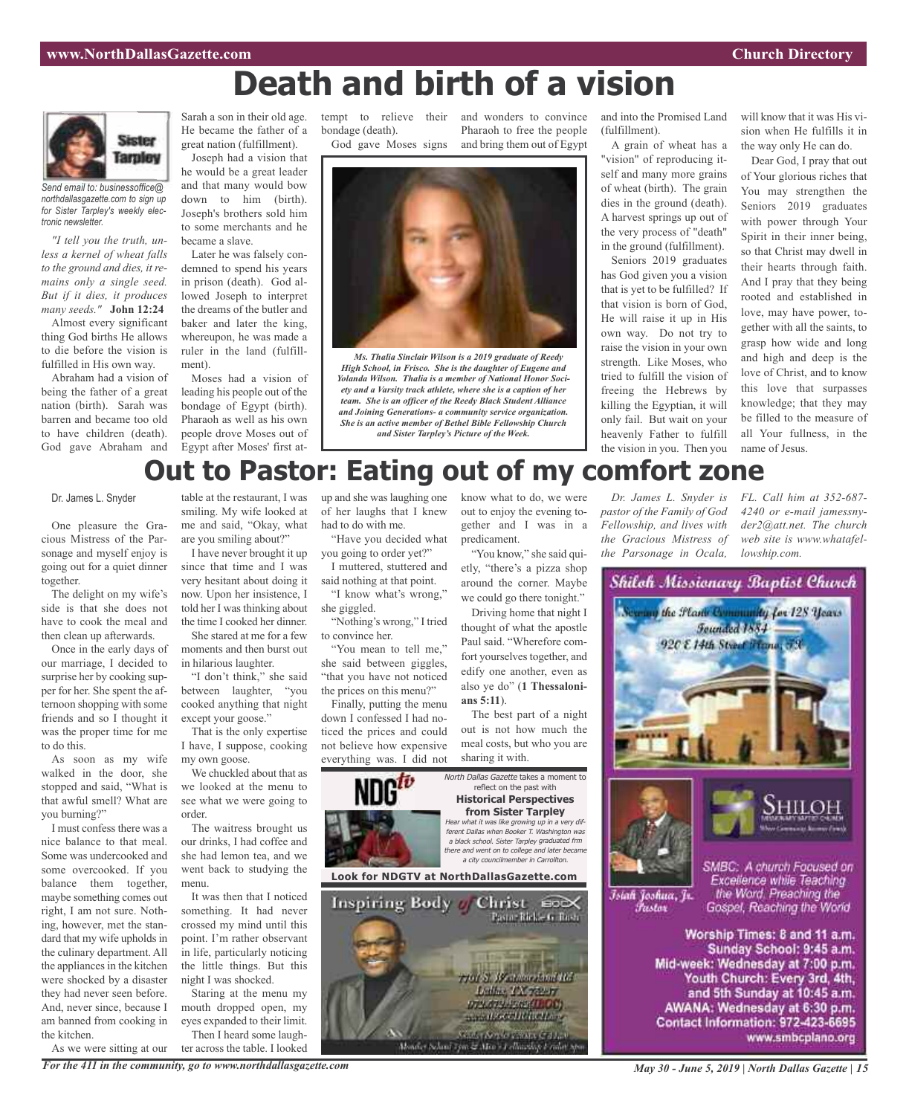# **Death and birth of a vision**



*Send email to: businessoffice@ northdallasgazette.com to sign up for Sister Tarpley's weekly electronic newsletter.*

*"I tell you the truth, unless a kernel of wheat falls to the ground and dies, it remains only a single seed. But if it dies, it produces many seeds."* **John 12:24**

Almost every significant thing God births He allows to die before the vision is fulfilled in His own way.

Abraham had a vision of being the father of a great nation (birth). Sarah was barren and became too old to have children (death). God gave Abraham and Sarah a son in their old age. He became the father of a great nation (fulfillment).

Joseph had a vision that he would be a great leader and that many would bow down to him (birth). Joseph's brothers sold him to some merchants and he became a slave.

Later he was falsely condemned to spend his years in prison (death). God allowed Joseph to interpret the dreams of the butler and baker and later the king, whereupon, he was made a ruler in the land (fulfillment).

Moses had a vision of leading his people out of the bondage of Egypt (birth). Pharaoh as well as his own people drove Moses out of Egypt after Moses' first at-

tempt to relieve their and wonders to convince bondage (death). God gave Moses signs

Pharaoh to free the people and bring them out of Egypt



*Ms. Thalia Sinclair Wilson is a 2019 graduate of Reedy High School, in Frisco. She is the daughter of Eugene and Yolanda Wilson. Thalia is a member of National Honor Society and a Varsity track athlete, where she is a caption of her team. She is an officer of the Reedy Black Student Alliance and Joining Generations- a community service organization. She is an active member of Bethel Bible Fellowship Church and Sister Tarpley's Picture of the Week.*

and into the Promised Land (fulfillment).

A grain of wheat has a "vision" of reproducing itself and many more grains of wheat (birth). The grain dies in the ground (death). A harvest springs up out of the very process of "death" in the ground (fulfillment).

Seniors 2019 graduates has God given you a vision that is yet to be fulfilled? If that vision is born of God, He will raise it up in His own way. Do not try to raise the vision in your own strength. Like Moses, who tried to fulfill the vision of freeing the Hebrews by killing the Egyptian, it will only fail. But wait on your heavenly Father to fulfill the vision in you. Then you

*Dr. James L. Snyder is pastor of the Family of God Fellowship, and lives with the Gracious Mistress of the Parsonage in Ocala,*

will know that it was His vision when He fulfills it in the way only He can do.

Dear God, I pray that out of Your glorious riches that You may strengthen the Seniors 2019 graduates with power through Your Spirit in their inner being, so that Christ may dwell in their hearts through faith. And I pray that they being rooted and established in love, may have power, together with all the saints, to grasp how wide and long and high and deep is the love of Christ, and to know this love that surpasses knowledge; that they may be filled to the measure of all Your fullness, in the name of Jesus.

*FL. Call him at 352-687- 4240 or e-mail jamessnyder2@att.net. The church web site is www.whatafel-*

*lowship.com.*

Shiloh Missionary Baptist Church

vy the Flam Community for 128 Years **Founded 1884** 920 E 14th Street Winner, 73

# **Out to Pastor: Eating out of my comfort zone**

Dr. James L. Snyder

One pleasure the Gracious Mistress of the Parsonage and myself enjoy is going out for a quiet dinner together.

The delight on my wife's side is that she does not have to cook the meal and then clean up afterwards.

Once in the early days of our marriage, I decided to surprise her by cooking supper for her. She spent the afternoon shopping with some friends and so I thought it was the proper time for me to do this.

As soon as my wife walked in the door, she stopped and said, "What is that awful smell? What are you burning?"

I must confess there was a nice balance to that meal. Some was undercooked and some overcooked. If you balance them together, maybe something comes out right, I am not sure. Nothing, however, met the standard that my wife upholds in the culinary department. All the appliances in the kitchen were shocked by a disaster they had never seen before. And, never since, because I am banned from cooking in the kitchen.

As we were sitting at our *For the 411 in the community, go to www.northdallasgazette.com*

table at the restaurant, I was smiling. My wife looked at me and said, "Okay, what are you smiling about?"

I have never brought it up since that time and I was very hesitant about doing it now. Upon her insistence, I told her I was thinking about the time I cooked her dinner.

She stared at me for a few moments and then burst out in hilarious laughter.

"I don't think," she said between laughter, "you cooked anything that night except your goose."

That is the only expertise I have, I suppose, cooking my own goose.

We chuckled about that as we looked at the menu to see what we were going to order.

The waitress brought us our drinks, I had coffee and she had lemon tea, and we went back to studying the menu.

It was then that I noticed something. It had never crossed my mind until this point. I'm rather observant in life, particularly noticing the little things. But this night I was shocked.

Staring at the menu my mouth dropped open, my eyes expanded to their limit. Then I heard some laugh-

ter across the table. I looked

of her laughs that I knew had to do with me. "Have you decided what

you going to order yet?" I muttered, stuttered and

said nothing at that point. "I know what's wrong,"

she giggled. "Nothing's wrong," I tried to convince her.

"You mean to tell me," she said between giggles, "that you have not noticed the prices on this menu?"

Finally, putting the menu down I confessed I had noticed the prices and could not believe how expensive everything was. I did not

up and she waslaughing one know what to do, we were out to enjoy the evening together and I was in a predicament.

> "You know," she said quietly, "there's a pizza shop around the corner. Maybe we could go there tonight."

Driving home that night I thought of what the apostle Paul said. "Wherefore comfort yourselves together, and edify one another, even as also ye do" (**1 Thessalonians 5:11**).

The best part of a night out is not how much the meal costs, but who you are sharing it with.



<sup>a</sup> black school. Sister Tarpley graduated frm there and went on to college and later became <sup>a</sup> city councilmember in Carrollton.

**Look for NDGTV at NorthDallasGazette.com**





Istali Joshua, Jr.

*Pastar* 

SMBC: A church Focused on Excellence while Teaching the Word. Preaching the Gospel, Reaching the World

Worship Times: 8 and 11 a.m. Sunday School: 9:45 a.m. Mid-week: Wednesday at 7:00 p.m. Youth Church: Every 3rd, 4th, and 5th Sunday at 10:45 a.m. AWANA: Wednesday at 6:30 p.m. Contact Information: 972-423-6695 www.smbcplano.org